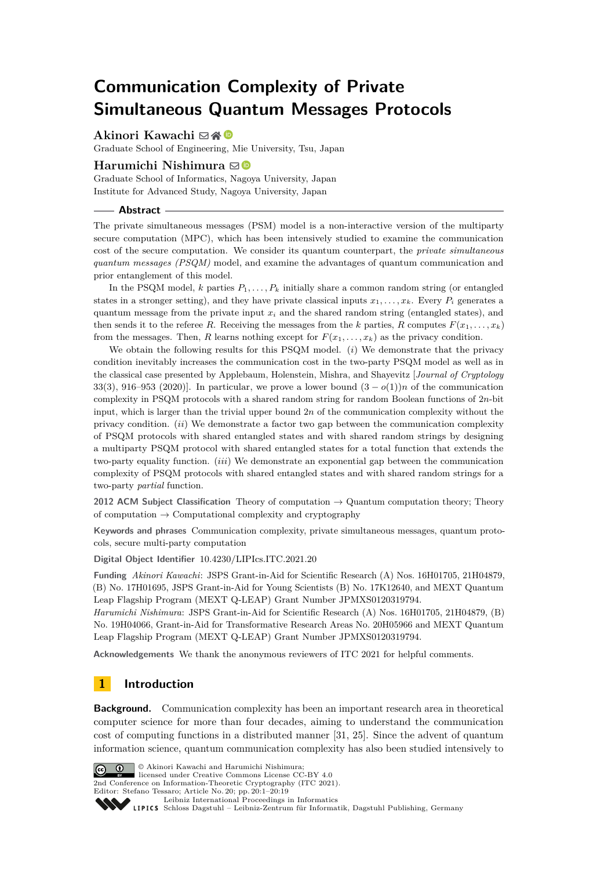# **Communication Complexity of Private Simultaneous Quantum Messages Protocols**

## **Akinori Kawachi** ⊠\* <sup>©</sup>

Graduate School of Engineering, Mie University, Tsu, Japan

## **Harumichi Nishimura** ⊠<sup>0</sup>

Graduate School of Informatics, Nagoya University, Japan Institute for Advanced Study, Nagoya University, Japan

### **Abstract**

The private simultaneous messages (PSM) model is a non-interactive version of the multiparty secure computation (MPC), which has been intensively studied to examine the communication cost of the secure computation. We consider its quantum counterpart, the *private simultaneous quantum messages (PSQM)* model, and examine the advantages of quantum communication and prior entanglement of this model.

In the PSQM model,  $k$  parties  $P_1, \ldots, P_k$  initially share a common random string (or entangled states in a stronger setting), and they have private classical inputs  $x_1, \ldots, x_k$ . Every  $P_i$  generates a quantum message from the private input  $x_i$  and the shared random string (entangled states), and then sends it to the referee *R*. Receiving the messages from the *k* parties, *R* computes  $F(x_1, \ldots, x_k)$ from the messages. Then, *R* learns nothing except for  $F(x_1, \ldots, x_k)$  as the privacy condition.

We obtain the following results for this PSQM model. (*i*) We demonstrate that the privacy condition inevitably increases the communication cost in the two-party PSQM model as well as in the classical case presented by Applebaum, Holenstein, Mishra, and Shayevitz [*Journal of Cryptology* 33(3), 916–953 (2020)]. In particular, we prove a lower bound  $(3 - o(1))n$  of the communication complexity in PSQM protocols with a shared random string for random Boolean functions of 2*n*-bit input, which is larger than the trivial upper bound 2*n* of the communication complexity without the privacy condition. (*ii*) We demonstrate a factor two gap between the communication complexity of PSQM protocols with shared entangled states and with shared random strings by designing a multiparty PSQM protocol with shared entangled states for a total function that extends the two-party equality function. (*iii*) We demonstrate an exponential gap between the communication complexity of PSQM protocols with shared entangled states and with shared random strings for a two-party *partial* function.

**2012 ACM Subject Classification** Theory of computation → Quantum computation theory; Theory of computation  $\rightarrow$  Computational complexity and cryptography

**Keywords and phrases** Communication complexity, private simultaneous messages, quantum protocols, secure multi-party computation

**Digital Object Identifier** [10.4230/LIPIcs.ITC.2021.20](https://doi.org/10.4230/LIPIcs.ITC.2021.20)

**Funding** *Akinori Kawachi*: JSPS Grant-in-Aid for Scientific Research (A) Nos. 16H01705, 21H04879, (B) No. 17H01695, JSPS Grant-in-Aid for Young Scientists (B) No. 17K12640, and MEXT Quantum Leap Flagship Program (MEXT Q-LEAP) Grant Number JPMXS0120319794.

*Harumichi Nishimura*: JSPS Grant-in-Aid for Scientific Research (A) Nos. 16H01705, 21H04879, (B) No. 19H04066, Grant-in-Aid for Transformative Research Areas No. 20H05966 and MEXT Quantum Leap Flagship Program (MEXT Q-LEAP) Grant Number JPMXS0120319794.

**Acknowledgements** We thank the anonymous reviewers of ITC 2021 for helpful comments.

## **1 Introduction**

**Background.** Communication complexity has been an important research area in theoretical computer science for more than four decades, aiming to understand the communication cost of computing functions in a distributed manner [\[31,](#page-16-0) [25\]](#page-16-1). Since the advent of quantum information science, quantum communication complexity has also been studied intensively to



© Akinori Kawachi and Harumichi Nishimura; licensed under Creative Commons License CC-BY 4.0

2nd Conference on Information-Theoretic Cryptography (ITC 2021).

[Leibniz International Proceedings in Informatics](https://www.dagstuhl.de/lipics/) [Schloss Dagstuhl – Leibniz-Zentrum für Informatik, Dagstuhl Publishing, Germany](https://www.dagstuhl.de)

Editor: Stefano Tessaro; Article No. 20; pp. 20:1–20:19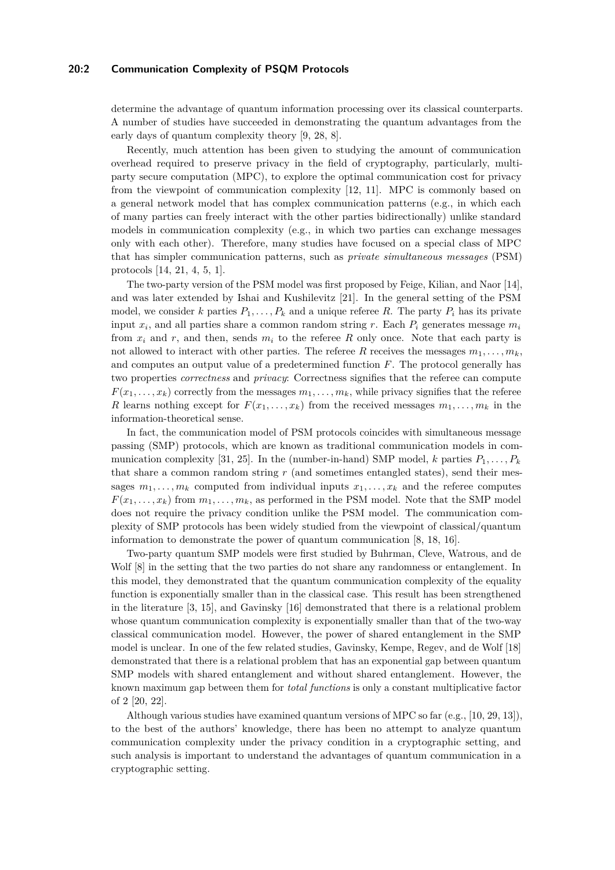## **20:2 Communication Complexity of PSQM Protocols**

determine the advantage of quantum information processing over its classical counterparts. A number of studies have succeeded in demonstrating the quantum advantages from the early days of quantum complexity theory [\[9,](#page-15-0) [28,](#page-16-2) [8\]](#page-15-1).

Recently, much attention has been given to studying the amount of communication overhead required to preserve privacy in the field of cryptography, particularly, multiparty secure computation (MPC), to explore the optimal communication cost for privacy from the viewpoint of communication complexity [\[12,](#page-15-2) [11\]](#page-15-3). MPC is commonly based on a general network model that has complex communication patterns (e.g., in which each of many parties can freely interact with the other parties bidirectionally) unlike standard models in communication complexity (e.g., in which two parties can exchange messages only with each other). Therefore, many studies have focused on a special class of MPC that has simpler communication patterns, such as *private simultaneous messages* (PSM) protocols [\[14,](#page-15-4) [21,](#page-16-3) [4,](#page-15-5) [5,](#page-15-6) [1\]](#page-15-7).

The two-party version of the PSM model was first proposed by Feige, Kilian, and Naor [\[14\]](#page-15-4), and was later extended by Ishai and Kushilevitz [\[21\]](#page-16-3). In the general setting of the PSM model, we consider *k* parties  $P_1, \ldots, P_k$  and a unique referee *R*. The party  $P_i$  has its private input *x<sup>i</sup>* , and all parties share a common random string *r*. Each *P<sup>i</sup>* generates message *m<sup>i</sup>* from  $x_i$  and  $r$ , and then, sends  $m_i$  to the referee R only once. Note that each party is not allowed to interact with other parties. The referee *R* receives the messages  $m_1, \ldots, m_k$ , and computes an output value of a predetermined function *F*. The protocol generally has two properties *correctness* and *privacy*: Correctness signifies that the referee can compute  $F(x_1, \ldots, x_k)$  correctly from the messages  $m_1, \ldots, m_k$ , while privacy signifies that the referee *R* learns nothing except for  $F(x_1, \ldots, x_k)$  from the received messages  $m_1, \ldots, m_k$  in the information-theoretical sense.

In fact, the communication model of PSM protocols coincides with simultaneous message passing (SMP) protocols, which are known as traditional communication models in com-munication complexity [\[31,](#page-16-0) [25\]](#page-16-1). In the (number-in-hand) SMP model, *k* parties  $P_1, \ldots, P_k$ that share a common random string *r* (and sometimes entangled states), send their messages  $m_1, \ldots, m_k$  computed from individual inputs  $x_1, \ldots, x_k$  and the referee computes  $F(x_1, \ldots, x_k)$  from  $m_1, \ldots, m_k$ , as performed in the PSM model. Note that the SMP model does not require the privacy condition unlike the PSM model. The communication complexity of SMP protocols has been widely studied from the viewpoint of classical/quantum information to demonstrate the power of quantum communication [\[8,](#page-15-1) [18,](#page-16-4) [16\]](#page-15-8).

Two-party quantum SMP models were first studied by Buhrman, Cleve, Watrous, and de Wolf  $[8]$  in the setting that the two parties do not share any randomness or entanglement. In this model, they demonstrated that the quantum communication complexity of the equality function is exponentially smaller than in the classical case. This result has been strengthened in the literature [\[3,](#page-15-9) [15\]](#page-15-10), and Gavinsky [\[16\]](#page-15-8) demonstrated that there is a relational problem whose quantum communication complexity is exponentially smaller than that of the two-way classical communication model. However, the power of shared entanglement in the SMP model is unclear. In one of the few related studies, Gavinsky, Kempe, Regev, and de Wolf [\[18\]](#page-16-4) demonstrated that there is a relational problem that has an exponential gap between quantum SMP models with shared entanglement and without shared entanglement. However, the known maximum gap between them for *total functions* is only a constant multiplicative factor of 2 [\[20,](#page-16-5) [22\]](#page-16-6).

Although various studies have examined quantum versions of MPC so far (e.g., [\[10,](#page-15-11) [29,](#page-16-7) [13\]](#page-15-12)), to the best of the authors' knowledge, there has been no attempt to analyze quantum communication complexity under the privacy condition in a cryptographic setting, and such analysis is important to understand the advantages of quantum communication in a cryptographic setting.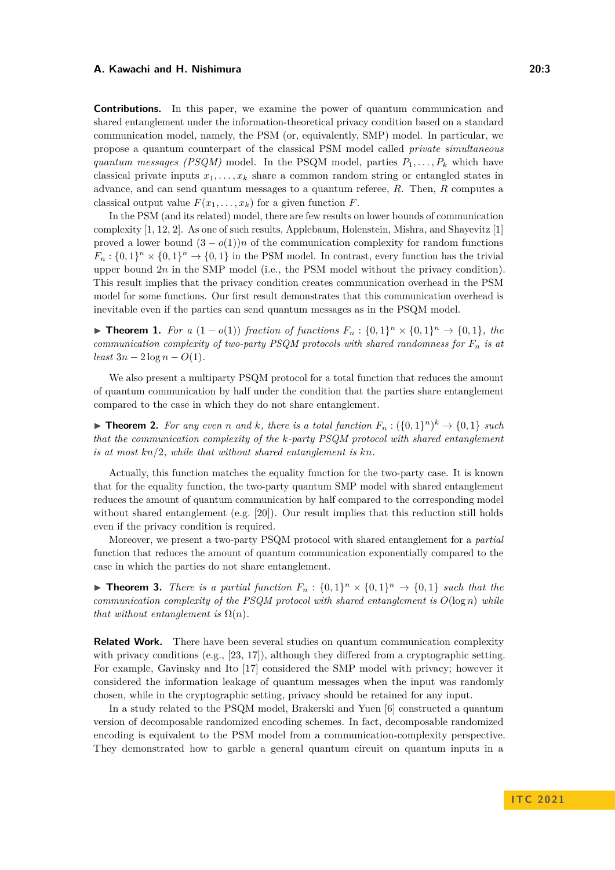**Contributions.** In this paper, we examine the power of quantum communication and shared entanglement under the information-theoretical privacy condition based on a standard communication model, namely, the PSM (or, equivalently, SMP) model. In particular, we propose a quantum counterpart of the classical PSM model called *private simultaneous quantum messages (PSQM)* model. In the PSQM model, parties  $P_1, \ldots, P_k$  which have classical private inputs  $x_1, \ldots, x_k$  share a common random string or entangled states in advance, and can send quantum messages to a quantum referee, *R*. Then, *R* computes a classical output value  $F(x_1, \ldots, x_k)$  for a given function  $F$ .

In the PSM (and its related) model, there are few results on lower bounds of communication complexity [\[1,](#page-15-7) [12,](#page-15-2) [2\]](#page-15-13). As one of such results, Applebaum, Holenstein, Mishra, and Shayevitz [\[1\]](#page-15-7) proved a lower bound  $(3 - o(1))n$  of the communication complexity for random functions  $F_n: \{0,1\}^n \times \{0,1\}^n \to \{0,1\}$  in the PSM model. In contrast, every function has the trivial upper bound 2*n* in the SMP model (i.e., the PSM model without the privacy condition). This result implies that the privacy condition creates communication overhead in the PSM model for some functions. Our first result demonstrates that this communication overhead is inevitable even if the parties can send quantum messages as in the PSQM model.

<span id="page-2-0"></span>▶ **Theorem 1.** *For a*  $(1 - o(1))$  *fraction of functions*  $F_n : \{0,1\}^n \times \{0,1\}^n \rightarrow \{0,1\}$ *, the communication complexity of two-party PSQM protocols with shared randomness for F<sup>n</sup> is at*  $least\ 3n - 2\log n - O(1)$ .

We also present a multiparty PSQM protocol for a total function that reduces the amount of quantum communication by half under the condition that the parties share entanglement compared to the case in which they do not share entanglement.

<span id="page-2-1"></span>▶ **Theorem 2.** For any even *n* and *k,* there is a total function  $F_n$  :  $({0,1}^n)^k$  →  ${0,1}$  *such that the communication complexity of the k-party PSQM protocol with shared entanglement is at most kn/*2*, while that without shared entanglement is kn.*

Actually, this function matches the equality function for the two-party case. It is known that for the equality function, the two-party quantum SMP model with shared entanglement reduces the amount of quantum communication by half compared to the corresponding model without shared entanglement (e.g. [\[20\]](#page-16-5)). Our result implies that this reduction still holds even if the privacy condition is required.

Moreover, we present a two-party PSQM protocol with shared entanglement for a *partial* function that reduces the amount of quantum communication exponentially compared to the case in which the parties do not share entanglement.

<span id="page-2-2"></span>▶ **Theorem 3.** *There is a partial function*  $F_n: \{0,1\}^n \times \{0,1\}^n \rightarrow \{0,1\}$  *such that the communication complexity of the PSQM protocol with shared entanglement is*  $O(\log n)$  *while that without entanglement is*  $\Omega(n)$ *.* 

**Related Work.** There have been several studies on quantum communication complexity with privacy conditions (e.g.,  $[23, 17]$  $[23, 17]$  $[23, 17]$ ), although they differed from a cryptographic setting. For example, Gavinsky and Ito [\[17\]](#page-16-9) considered the SMP model with privacy; however it considered the information leakage of quantum messages when the input was randomly chosen, while in the cryptographic setting, privacy should be retained for any input.

In a study related to the PSQM model, Brakerski and Yuen [\[6\]](#page-15-14) constructed a quantum version of decomposable randomized encoding schemes. In fact, decomposable randomized encoding is equivalent to the PSM model from a communication-complexity perspective. They demonstrated how to garble a general quantum circuit on quantum inputs in a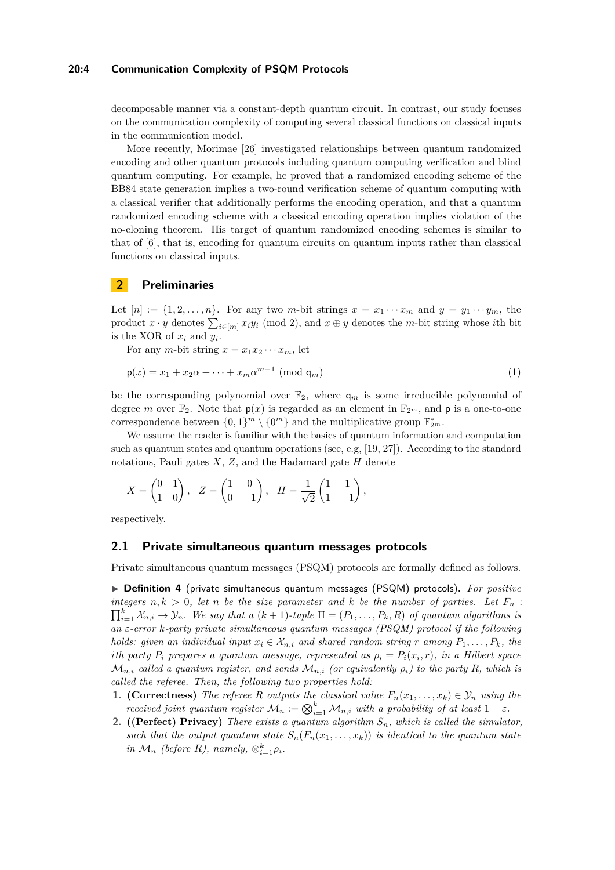#### **20:4 Communication Complexity of PSQM Protocols**

decomposable manner via a constant-depth quantum circuit. In contrast, our study focuses on the communication complexity of computing several classical functions on classical inputs in the communication model.

More recently, Morimae [\[26\]](#page-16-10) investigated relationships between quantum randomized encoding and other quantum protocols including quantum computing verification and blind quantum computing. For example, he proved that a randomized encoding scheme of the BB84 state generation implies a two-round verification scheme of quantum computing with a classical verifier that additionally performs the encoding operation, and that a quantum randomized encoding scheme with a classical encoding operation implies violation of the no-cloning theorem. His target of quantum randomized encoding schemes is similar to that of [\[6\]](#page-15-14), that is, encoding for quantum circuits on quantum inputs rather than classical functions on classical inputs.

## **2 Preliminaries**

Let  $[n] := \{1, 2, \ldots, n\}$ . For any two *m*-bit strings  $x = x_1 \cdots x_m$  and  $y = y_1 \cdots y_m$ , the product  $x \cdot y$  denotes  $\sum_{i \in [m]} x_i y_i \pmod{2}$ , and  $x \oplus y$  denotes the *m*-bit string whose *i*th bit is the XOR of  $x_i$  and  $y_i$ .

For any *m*-bit string  $x = x_1 x_2 \cdots x_m$ , let

$$
\mathsf{p}(x) = x_1 + x_2 \alpha + \dots + x_m \alpha^{m-1} \pmod{\mathsf{q}_m} \tag{1}
$$

be the corresponding polynomial over  $\mathbb{F}_2$ , where  $q_m$  is some irreducible polynomial of degree *m* over  $\mathbb{F}_2$ . Note that  $p(x)$  is regarded as an element in  $\mathbb{F}_{2^m}$ , and p is a one-to-one correspondence between  $\{0,1\}^m \setminus \{0^m\}$  and the multiplicative group  $\mathbb{F}_{2^m}^*$ .

We assume the reader is familiar with the basics of quantum information and computation such as quantum states and quantum operations (see, e.g, [\[19,](#page-16-11) [27\]](#page-16-12)). According to the standard notations, Pauli gates *X*, *Z*, and the Hadamard gate *H* denote

$$
X = \begin{pmatrix} 0 & 1 \\ 1 & 0 \end{pmatrix}, \quad Z = \begin{pmatrix} 1 & 0 \\ 0 & -1 \end{pmatrix}, \quad H = \frac{1}{\sqrt{2}} \begin{pmatrix} 1 & 1 \\ 1 & -1 \end{pmatrix},
$$

respectively.

### **2.1 Private simultaneous quantum messages protocols**

Private simultaneous quantum messages (PSQM) protocols are formally defined as follows.

▶ **Definition 4** (private simultaneous quantum messages (PSQM) protocols)**.** *For positive integers*  $n, k > 0$ , let *n* be the size parameter and *k* be the number of parties. Let  $F_n$ :  $\prod_{i=1}^{k} X_{n,i} \rightarrow Y_n$ *. We say that a*  $(k+1)$ *-tuple*  $\Pi = (P_1, \ldots, P_k, R)$  *of quantum algorithms is an ε-error k-party private simultaneous quantum messages (PSQM) protocol if the following holds: given an individual input*  $x_i \in \mathcal{X}_{n,i}$  *and shared random string r among*  $P_1, \ldots, P_k$ *, the i*<sup>th</sup> party  $P_i$  prepares a quantum message, represented as  $\rho_i = P_i(x_i, r)$ , in a Hilbert space  $\mathcal{M}_{n,i}$  called a quantum register, and sends  $\mathcal{M}_{n,i}$  (or equivalently  $\rho_i$ ) to the party R, which is *called the referee. Then, the following two properties hold:*

- **1. (Correctness)** *The referee R outputs the classical value*  $F_n(x_1, \ldots, x_k) \in \mathcal{Y}_n$  *using the received joint quantum register*  $\mathcal{M}_n := \bigotimes_{i=1}^k \mathcal{M}_{n,i}$  *with a probability of at least*  $1 - \varepsilon$ *.*
- **2. ((Perfect) Privacy)** *There exists a quantum algorithm Sn, which is called the simulator, such that the output quantum state*  $S_n(F_n(x_1, \ldots, x_k))$  *is identical to the quantum state in*  $\mathcal{M}_n$  *(before R), namely,*  $\otimes_{i=1}^k \rho_i$ *.*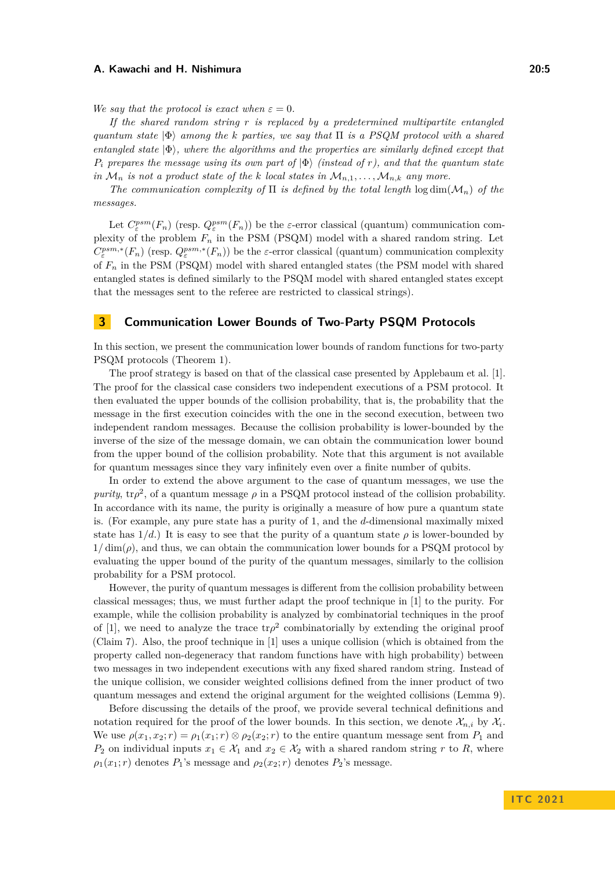*We say that the protocol is exact when*  $\varepsilon = 0$ *.* 

*If the shared random string r is replaced by a predetermined multipartite entangled quantum state* |Φ⟩ *among the k parties, we say that* Π *is a PSQM protocol with a shared entangled state* |Φ⟩*, where the algorithms and the properties are similarly defined except that P<sup>i</sup> prepares the message using its own part of* |Φ⟩ *(instead of r), and that the quantum state in*  $\mathcal{M}_n$  *is not a product state of the k local states in*  $\mathcal{M}_{n,1}, \ldots, \mathcal{M}_{n,k}$  *any more.* 

*The communication complexity of*  $\Pi$  *is defined by the total length*  $\log \dim(M_n)$  *of the messages.*

Let  $C_{\varepsilon}^{psm}(F_n)$  (resp.  $Q_{\varepsilon}^{psm}(F_n)$ ) be the *ε*-error classical (quantum) communication complexity of the problem  $F_n$  in the PSM (PSQM) model with a shared random string. Let  $C_{\varepsilon}^{psm,*}(F_n)$  (resp.  $Q_{\varepsilon}^{psm,*}(F_n)$ ) be the *ε*-error classical (quantum) communication complexity of *F<sup>n</sup>* in the PSM (PSQM) model with shared entangled states (the PSM model with shared entangled states is defined similarly to the PSQM model with shared entangled states except that the messages sent to the referee are restricted to classical strings).

## **3 Communication Lower Bounds of Two-Party PSQM Protocols**

In this section, we present the communication lower bounds of random functions for two-party PSQM protocols (Theorem [1\)](#page-2-0).

The proof strategy is based on that of the classical case presented by Applebaum et al. [\[1\]](#page-15-7). The proof for the classical case considers two independent executions of a PSM protocol. It then evaluated the upper bounds of the collision probability, that is, the probability that the message in the first execution coincides with the one in the second execution, between two independent random messages. Because the collision probability is lower-bounded by the inverse of the size of the message domain, we can obtain the communication lower bound from the upper bound of the collision probability. Note that this argument is not available for quantum messages since they vary infinitely even over a finite number of qubits.

In order to extend the above argument to the case of quantum messages, we use the *purity*,  $\text{tr}\rho^2$ , of a quantum message  $\rho$  in a PSQM protocol instead of the collision probability. In accordance with its name, the purity is originally a measure of how pure a quantum state is. (For example, any pure state has a purity of 1, and the *d*-dimensional maximally mixed state has  $1/d$ .) It is easy to see that the purity of a quantum state  $\rho$  is lower-bounded by  $1/\dim(\rho)$ , and thus, we can obtain the communication lower bounds for a PSQM protocol by evaluating the upper bound of the purity of the quantum messages, similarly to the collision probability for a PSM protocol.

However, the purity of quantum messages is different from the collision probability between classical messages; thus, we must further adapt the proof technique in [\[1\]](#page-15-7) to the purity. For example, while the collision probability is analyzed by combinatorial techniques in the proof of [\[1\]](#page-15-7), we need to analyze the trace  $tr\rho^2$  combinatorially by extending the original proof (Claim [7\)](#page-6-0). Also, the proof technique in [\[1\]](#page-15-7) uses a unique collision (which is obtained from the property called non-degeneracy that random functions have with high probability) between two messages in two independent executions with any fixed shared random string. Instead of the unique collision, we consider weighted collisions defined from the inner product of two quantum messages and extend the original argument for the weighted collisions (Lemma [9\)](#page-7-0).

Before discussing the details of the proof, we provide several technical definitions and notation required for the proof of the lower bounds. In this section, we denote  $\mathcal{X}_{n,i}$  by  $\mathcal{X}_i$ . We use  $\rho(x_1, x_2; r) = \rho_1(x_1; r) \otimes \rho_2(x_2; r)$  to the entire quantum message sent from  $P_1$  and *P*<sub>2</sub> on individual inputs  $x_1 \in \mathcal{X}_1$  and  $x_2 \in \mathcal{X}_2$  with a shared random string *r* to *R*, where  $\rho_1(x_1; r)$  denotes  $P_1$ 's message and  $\rho_2(x_2; r)$  denotes  $P_2$ 's message.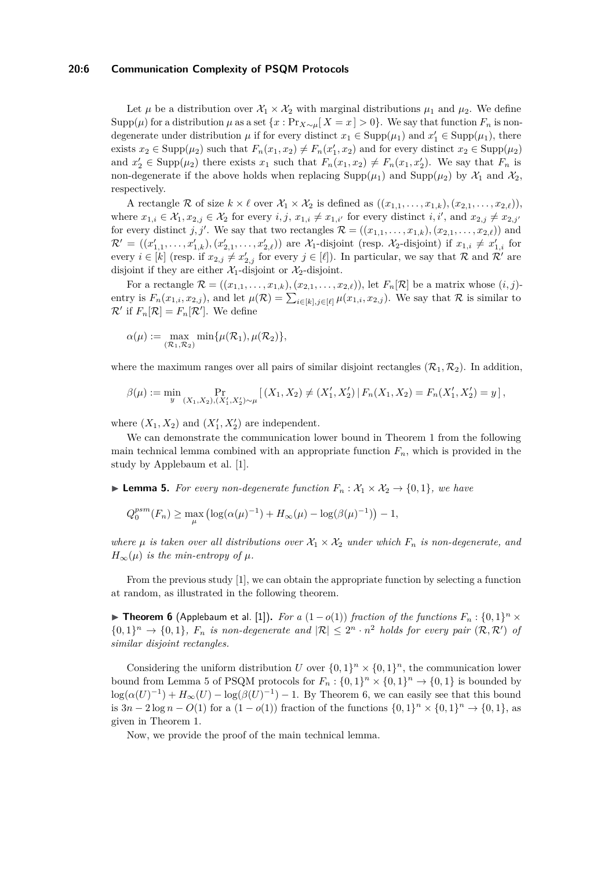#### **20:6 Communication Complexity of PSQM Protocols**

Let  $\mu$  be a distribution over  $\mathcal{X}_1 \times \mathcal{X}_2$  with marginal distributions  $\mu_1$  and  $\mu_2$ . We define Supp( $\mu$ ) for a distribution  $\mu$  as a set  $\{x : \Pr_{X \sim \mu}[X = x] > 0\}$ . We say that function  $F_n$  is nondegenerate under distribution  $\mu$  if for every distinct  $x_1 \in \text{Supp}(\mu_1)$  and  $x_1' \in \text{Supp}(\mu_1)$ , there exists  $x_2 \in \text{Supp}(\mu_2)$  such that  $F_n(x_1, x_2) \neq F_n(x_1', x_2)$  and for every distinct  $x_2 \in \text{Supp}(\mu_2)$ and  $x'_2 \in \text{Supp}(\mu_2)$  there exists  $x_1$  such that  $F_n(x_1, x_2) \neq F_n(x_1, x'_2)$ . We say that  $F_n$  is non-degenerate if the above holds when replacing  $\text{Supp}(\mu_1)$  and  $\text{Supp}(\mu_2)$  by  $\mathcal{X}_1$  and  $\mathcal{X}_2$ , respectively.

A rectangle R of size  $k \times \ell$  over  $\mathcal{X}_1 \times \mathcal{X}_2$  is defined as  $((x_{1,1}, \ldots, x_{1,k}), (x_{2,1}, \ldots, x_{2,\ell}))$ , where  $x_{1,i} \in \mathcal{X}_1, x_{2,j} \in \mathcal{X}_2$  for every  $i, j, x_{1,i} \neq x_{1,i'}$  for every distinct  $i, i'$ , and  $x_{2,j} \neq x_{2,j'}$ for every distinct *j*, *j'*. We say that two rectangles  $\mathcal{R} = ((x_{1,1}, \ldots, x_{1,k}), (x_{2,1}, \ldots, x_{2,\ell}))$  and  $\mathcal{R}' = ((x'_{1,1}, \ldots, x'_{1,k}), (x'_{2,1}, \ldots, x'_{2,\ell}))$  are  $\mathcal{X}_1$ -disjoint (resp.  $\mathcal{X}_2$ -disjoint) if  $x_{1,i} \neq x'_{1,i}$  for every  $i \in [k]$  (resp. if  $x_{2,j} \neq x'_{2,j}$  for every  $j \in [\ell]$ ). In particular, we say that R and R' are disjoint if they are either  $\mathcal{X}_1$ -disjoint or  $\mathcal{X}_2$ -disjoint.

For a rectangle  $\mathcal{R} = ((x_{1,1}, \ldots, x_{1,k}), (x_{2,1}, \ldots, x_{2,\ell}))$ , let  $F_n[\mathcal{R}]$  be a matrix whose  $(i, j)$ entry is  $F_n(x_{1,i}, x_{2,j})$ , and let  $\mu(\mathcal{R}) = \sum_{i \in [k], j \in [\ell]} \mu(x_{1,i}, x_{2,j})$ . We say that  $\mathcal{R}$  is similar to  $\mathcal{R}'$  if  $F_n[\mathcal{R}] = F_n[\mathcal{R}']$ . We define

$$
\alpha(\mu) := \max_{(\mathcal{R}_1, \mathcal{R}_2)} \min{\mu(\mathcal{R}_1), \mu(\mathcal{R}_2)},
$$

where the maximum ranges over all pairs of similar disjoint rectangles  $(\mathcal{R}_1, \mathcal{R}_2)$ . In addition,

$$
\beta(\mu) := \min_{y} \Pr_{(X_1, X_2), (X_1', X_2') \sim \mu} \left[ (X_1, X_2) \neq (X_1', X_2') \, | \, F_n(X_1, X_2) = F_n(X_1', X_2') = y \right],
$$

where  $(X_1, X_2)$  and  $(X'_1, X'_2)$  are independent.

We can demonstrate the communication lower bound in Theorem [1](#page-2-0) from the following main technical lemma combined with an appropriate function  $F_n$ , which is provided in the study by Applebaum et al. [\[1\]](#page-15-7).

<span id="page-5-0"></span>▶ **Lemma 5.** *For every non-degenerate function*  $F_n$  :  $\mathcal{X}_1 \times \mathcal{X}_2$  → {0,1}, we have

$$
Q_0^{psm}(F_n) \ge \max_{\mu} \left( \log(\alpha(\mu)^{-1}) + H_{\infty}(\mu) - \log(\beta(\mu)^{-1}) \right) - 1,
$$

*where*  $\mu$  *is taken over all distributions over*  $\mathcal{X}_1 \times \mathcal{X}_2$  *under which*  $F_n$  *is non-degenerate, and*  $H_{\infty}(\mu)$  *is the min-entropy of*  $\mu$ *.* 

From the previous study [\[1\]](#page-15-7), we can obtain the appropriate function by selecting a function at random, as illustrated in the following theorem.

<span id="page-5-1"></span>▶ **Theorem 6** (Applebaum et al. [\[1\]](#page-15-7)). For a  $(1 - o(1))$  fraction of the functions  $F_n : \{0,1\}^n \times$  $\{0,1\}^n \to \{0,1\}$ ,  $F_n$  is non-degenerate and  $|\mathcal{R}| \leq 2^n \cdot n^2$  holds for every pair  $(\mathcal{R},\mathcal{R}')$  of *similar disjoint rectangles.*

Considering the uniform distribution *U* over  $\{0,1\}^n \times \{0,1\}^n$ , the communication lower bound from Lemma [5](#page-5-0) of PSQM protocols for  $F_n: \{0,1\}^n \times \{0,1\}^n \to \{0,1\}$  is bounded by  $\log(\alpha(U)^{-1}) + H_{\infty}(U) - \log(\beta(U)^{-1}) - 1$ . By Theorem [6,](#page-5-1) we can easily see that this bound is  $3n - 2\log n - O(1)$  for a  $(1 - o(1))$  fraction of the functions  $\{0, 1\}^n \times \{0, 1\}^n \rightarrow \{0, 1\}$ , as given in Theorem [1.](#page-2-0)

Now, we provide the proof of the main technical lemma.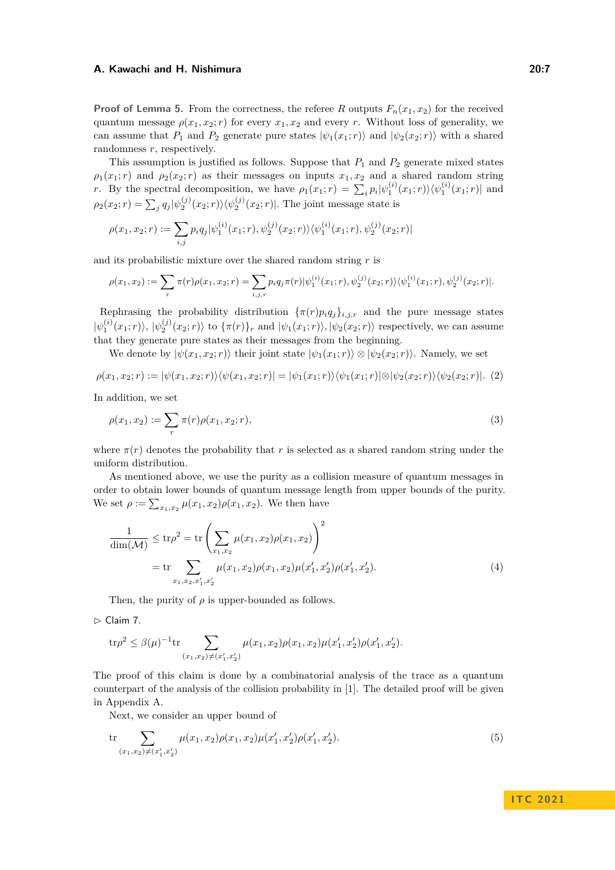**Proof of Lemma [5.](#page-5-0)** From the correctness, the referee *R* outputs  $F_n(x_1, x_2)$  for the received quantum message  $\rho(x_1, x_2; r)$  for every  $x_1, x_2$  and every *r*. Without loss of generality, we can assume that  $P_1$  and  $P_2$  generate pure states  $|\psi_1(x_1; r)\rangle$  and  $|\psi_2(x_2; r)\rangle$  with a shared randomness *r*, respectively.

This assumption is justified as follows. Suppose that *P*<sup>1</sup> and *P*<sup>2</sup> generate mixed states  $\rho_1(x_1; r)$  and  $\rho_2(x_2; r)$  as their messages on inputs  $x_1, x_2$  and a shared random string *r*. By the spectral decomposition, we have  $\rho_1(x_1;r) = \sum_i p_i |\psi_1^{(i)}(x_1;r)\rangle \langle \psi_1^{(i)}(x_1;r)|$  and  $\rho_2(x_2; r) = \sum_j q_j |\psi_2^{(j)}(x_2; r)\rangle \langle \psi_2^{(j)}(x_2; r)|$ . The joint message state is

$$
\rho(x_1, x_2; r) := \sum_{i,j} p_i q_j |\psi_1^{(i)}(x_1; r), \psi_2^{(j)}(x_2; r) \rangle \langle \psi_1^{(i)}(x_1; r), \psi_2^{(j)}(x_2; r)|
$$

and its probabilistic mixture over the shared random string *r* is

$$
\rho(x_1, x_2) := \sum_r \pi(r) \rho(x_1, x_2; r) = \sum_{i,j,r} p_i q_j \pi(r) |\psi_1^{(i)}(x_1; r), \psi_2^{(j)}(x_2; r) \rangle \langle \psi_1^{(i)}(x_1; r), \psi_2^{(j)}(x_2; r)|.
$$

Rephrasing the probability distribution  $\{\pi(r)p_iq_j\}_{i,j,r}$  and the pure message states  $|\psi_1^{(i)}(x_1;r)\rangle, |\psi_2^{(j)}(x_2;r)\rangle$  to  $\{\pi(r)\}_r$  and  $|\psi_1(x_1;r)\rangle, |\psi_2(x_2;r)\rangle$  respectively, we can assume that they generate pure states as their messages from the beginning.

<span id="page-6-4"></span>We denote by  $|\psi(x_1, x_2; r)\rangle$  their joint state  $|\psi_1(x_1; r)\rangle \otimes |\psi_2(x_2; r)\rangle$ . Namely, we set

$$
\rho(x_1, x_2; r) := |\psi(x_1, x_2; r)\rangle\langle\psi(x_1, x_2; r)| = |\psi_1(x_1; r)\rangle\langle\psi_1(x_1; r)| \otimes |\psi_2(x_2; r)\rangle\langle\psi_2(x_2; r)|. (2)
$$

In addition, we set

<span id="page-6-2"></span>
$$
\rho(x_1, x_2) := \sum_r \pi(r)\rho(x_1, x_2; r),\tag{3}
$$

where  $\pi(r)$  denotes the probability that r is selected as a shared random string under the uniform distribution.

As mentioned above, we use the purity as a collision measure of quantum messages in order to obtain lower bounds of quantum message length from upper bounds of the purity. We set  $\rho := \sum_{x_1, x_2} \mu(x_1, x_2) \rho(x_1, x_2)$ . We then have

<span id="page-6-3"></span>
$$
\frac{1}{\dim(\mathcal{M})} \le \text{tr}\rho^2 = \text{tr}\left(\sum_{x_1, x_2} \mu(x_1, x_2)\rho(x_1, x_2)\right)^2
$$
\n
$$
= \text{tr}\sum_{x_1, x_2, x_1', x_2'} \mu(x_1, x_2)\rho(x_1, x_2)\mu(x_1', x_2')\rho(x_1', x_2'). \tag{4}
$$

Then, the purity of  $\rho$  is upper-bounded as follows.

<span id="page-6-0"></span> $\triangleright$  Claim 7.

$$
\mathrm{tr}\rho^2 \leq \beta(\mu)^{-1} \mathrm{tr} \sum_{(x_1, x_2) \neq (x_1', x_2')} \mu(x_1, x_2) \rho(x_1, x_2) \mu(x_1', x_2') \rho(x_1', x_2').
$$

The proof of this claim is done by a combinatorial analysis of the trace as a quantum counterpart of the analysis of the collision probability in [\[1\]](#page-15-7). The detailed proof will be given in Appendix [A.](#page-16-13)

<span id="page-6-1"></span>Next, we consider an upper bound of

$$
\operatorname{tr} \sum_{(x_1, x_2) \neq (x'_1, x'_2)} \mu(x_1, x_2) \rho(x_1, x_2) \mu(x'_1, x'_2) \rho(x'_1, x'_2). \tag{5}
$$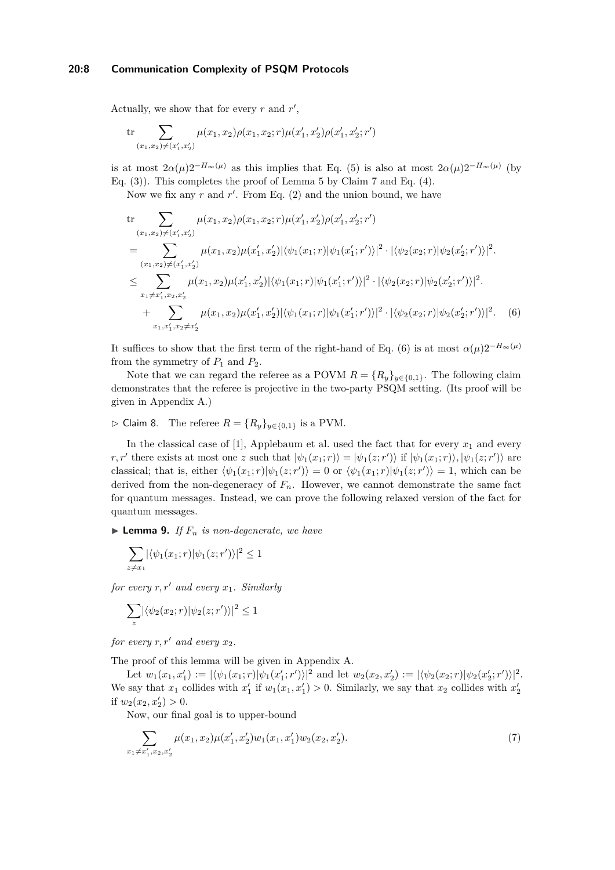## **20:8 Communication Complexity of PSQM Protocols**

Actually, we show that for every  $r$  and  $r'$ ,

$$
\mathrm{tr} \sum_{(x_1,x_2) \neq (x_1',x_2')} \mu(x_1,x_2) \rho(x_1,x_2;r) \mu(x_1',x_2') \rho(x_1',x_2';r')
$$

is at most  $2\alpha(\mu)2^{-H_{\infty}(\mu)}$  as this implies that Eq. [\(5\)](#page-6-1) is also at most  $2\alpha(\mu)2^{-H_{\infty}(\mu)}$  (by Eq. [\(3\)](#page-6-2)). This completes the proof of Lemma [5](#page-5-0) by Claim [7](#page-6-0) and Eq. [\(4\)](#page-6-3).

Now we fix any  $r$  and  $r'$ . From Eq.  $(2)$  and the union bound, we have

<span id="page-7-1"></span>tr  
\n
$$
\sum_{(x_1,x_2)\neq(x'_1,x'_2)} \mu(x_1,x_2)\rho(x_1,x_2;r)\mu(x'_1,x'_2)\rho(x'_1,x'_2;r')
$$
\n
$$
= \sum_{(x_1,x_2)\neq(x'_1,x'_2)} \mu(x_1,x_2)\mu(x'_1,x'_2)|\langle\psi_1(x_1;r)|\psi_1(x'_1;r')\rangle|^2 \cdot |\langle\psi_2(x_2;r)|\psi_2(x'_2;r')\rangle|^2.
$$
\n
$$
\leq \sum_{x_1\neq x'_1,x_2,x'_2} \mu(x_1,x_2)\mu(x'_1,x'_2)|\langle\psi_1(x_1;r)|\psi_1(x'_1;r')\rangle|^2 \cdot |\langle\psi_2(x_2;r)|\psi_2(x'_2;r')\rangle|^2.
$$
\n
$$
+ \sum_{x_1,x'_1,x_2\neq x'_2} \mu(x_1,x_2)\mu(x'_1,x'_2)|\langle\psi_1(x_1;r)|\psi_1(x'_1;r')\rangle|^2 \cdot |\langle\psi_2(x_2;r)|\psi_2(x'_2;r')\rangle|^2. \tag{6}
$$

It suffices to show that the first term of the right-hand of Eq. [\(6\)](#page-7-1) is at most  $\alpha(\mu)2^{-H_{\infty}(\mu)}$ from the symmetry of  $P_1$  and  $P_2$ .

Note that we can regard the referee as a POVM  $R = \{R_y\}_{y \in \{0,1\}}$ . The following claim demonstrates that the referee is projective in the two-party PSQM setting. (Its proof will be given in Appendix [A.](#page-16-13))

<span id="page-7-3"></span>▷ Claim 8. The referee *R* = {*Ry*}*y*∈{0*,*1} is a PVM.

In the classical case of  $[1]$ , Applebaum et al. used the fact that for every  $x_1$  and every *r*, *r'* there exists at most one *z* such that  $|\psi_1(x_1; r)\rangle = |\psi_1(z; r')\rangle$  if  $|\psi_1(x_1; r)\rangle$ ,  $|\psi_1(z; r')\rangle$  are classical; that is, either  $\langle \psi_1(x_1;r)|\psi_1(z;r')\rangle = 0$  or  $\langle \psi_1(x_1;r)|\psi_1(z;r')\rangle = 1$ , which can be derived from the non-degeneracy of  $F_n$ . However, we cannot demonstrate the same fact for quantum messages. Instead, we can prove the following relaxed version of the fact for quantum messages.

<span id="page-7-0"></span> $\blacktriangleright$  **Lemma 9.** *If*  $F_n$  *is non-degenerate, we have* 

$$
\sum_{z \neq x_1} |\langle \psi_1(x_1; r) | \psi_1(z; r') \rangle|^2 \leq 1
$$

*for every r, r*′ *and every x*1*. Similarly*

$$
\sum_{z} |\langle \psi_2(x_2; r) | \psi_2(z; r') \rangle|^2 \le 1
$$

*for every*  $r, r'$  *and every*  $x_2$ *.* 

The proof of this lemma will be given in Appendix [A.](#page-16-13)

Let  $w_1(x_1, x_1') := |\langle \psi_1(x_1; r) | \psi_1(x_1'; r') \rangle|^2$  and let  $w_2(x_2, x_2') := |\langle \psi_2(x_2; r) | \psi_2(x_2'; r') \rangle|^2$ . We say that  $x_1$  collides with  $x'_1$  if  $w_1(x_1, x'_1) > 0$ . Similarly, we say that  $x_2$  collides with  $x'_2$ if  $w_2(x_2, x'_2) > 0$ .

<span id="page-7-2"></span>Now, our final goal is to upper-bound

$$
\sum_{x_1 \neq x_1', x_2, x_2'} \mu(x_1, x_2) \mu(x_1', x_2') w_1(x_1, x_1') w_2(x_2, x_2').
$$
\n(7)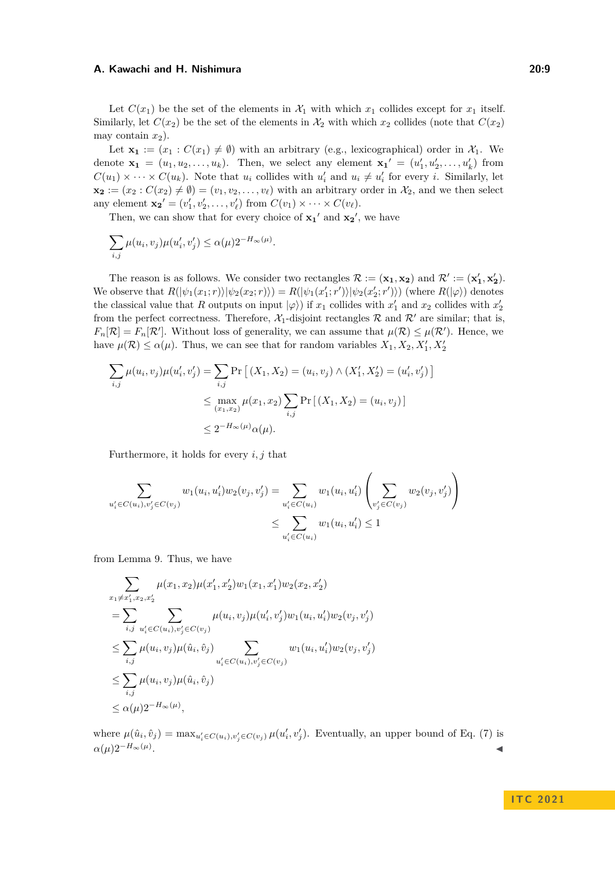Let  $C(x_1)$  be the set of the elements in  $\mathcal{X}_1$  with which  $x_1$  collides except for  $x_1$  itself. Similarly, let  $C(x_2)$  be the set of the elements in  $\mathcal{X}_2$  with which  $x_2$  collides (note that  $C(x_2)$ ) may contain  $x_2$ ).

Let  $\mathbf{x}_1 := (x_1 : C(x_1) \neq \emptyset)$  with an arbitrary (e.g., lexicographical) order in  $\mathcal{X}_1$ . We denote  $\mathbf{x}_1 = (u_1, u_2, \dots, u_k)$ . Then, we select any element  $\mathbf{x}_1' = (u'_1, u'_2, \dots, u'_k)$  from  $C(u_1) \times \cdots \times C(u_k)$ . Note that  $u_i$  collides with  $u'_i$  and  $u_i \neq u'_i$  for every *i*. Similarly, let  $\mathbf{x_2} := (x_2 : C(x_2) \neq \emptyset) = (v_1, v_2, \dots, v_\ell)$  with an arbitrary order in  $\mathcal{X}_2$ , and we then select any element  $\mathbf{x_2}' = (v'_1, v'_2, \dots, v'_\ell)$  from  $C(v_1) \times \dots \times C(v_\ell)$ .

Then, we can show that for every choice of  $x_1'$  and  $x_2'$ , we have

*.*

$$
\sum_{i,j} \mu(u_i, v_j) \mu(u'_i, v'_j) \le \alpha(\mu) 2^{-H_{\infty}(\mu)}
$$

The reason is as follows. We consider two rectangles  $\mathcal{R} := (\mathbf{x}_1, \mathbf{x}_2)$  and  $\mathcal{R}' := (\mathbf{x}'_1, \mathbf{x}'_2)$ . We observe that  $R(|\psi_1(x_1; r)| |\psi_2(x_2; r)|) = R(|\psi_1(x'_1; r')| |\psi_2(x'_2; r')\rangle)$  (where  $R(|\varphi\rangle)$  denotes the classical value that *R* outputs on input  $|\varphi\rangle$ ) if  $x_1$  collides with  $x'_1$  and  $x_2$  collides with  $x'_2$ from the perfect correctness. Therefore,  $\mathcal{X}_1$ -disjoint rectangles  $\mathcal{R}$  and  $\mathcal{R}'$  are similar; that is,  $F_n[\mathcal{R}] = F_n[\mathcal{R}']$ . Without loss of generality, we can assume that  $\mu(\mathcal{R}) \leq \mu(\mathcal{R}')$ . Hence, we have  $\mu(\mathcal{R}) \leq \alpha(\mu)$ . Thus, we can see that for random variables  $X_1, X_2, X'_1, X'_2$ 

$$
\sum_{i,j} \mu(u_i, v_j) \mu(u'_i, v'_j) = \sum_{i,j} \Pr\left[ (X_1, X_2) = (u_i, v_j) \land (X'_1, X'_2) = (u'_i, v'_j) \right]
$$
  

$$
\leq \max_{(x_1, x_2)} \mu(x_1, x_2) \sum_{i,j} \Pr\left[ (X_1, X_2) = (u_i, v_j) \right]
$$
  

$$
\leq 2^{-H_{\infty}(\mu)} \alpha(\mu).
$$

Furthermore, it holds for every *i, j* that

$$
\sum_{u'_i \in C(u_i), v'_j \in C(v_j)} w_1(u_i, u'_i) w_2(v_j, v'_j) = \sum_{u'_i \in C(u_i)} w_1(u_i, u'_i) \left( \sum_{v'_j \in C(v_j)} w_2(v_j, v'_j) \right)
$$
  

$$
\leq \sum_{u'_i \in C(u_i)} w_1(u_i, u'_i) \leq 1
$$

from Lemma [9.](#page-7-0) Thus, we have

$$
\sum_{x_1 \neq x'_1, x_2, x'_2} \mu(x_1, x_2) \mu(x'_1, x'_2) w_1(x_1, x'_1) w_2(x_2, x'_2)
$$
\n
$$
= \sum_{i,j} \sum_{u'_i \in C(u_i), v'_j \in C(v_j)} \mu(u_i, v_j) \mu(u'_i, v'_j) w_1(u_i, u'_i) w_2(v_j, v'_j)
$$
\n
$$
\leq \sum_{i,j} \mu(u_i, v_j) \mu(\hat{u}_i, \hat{v}_j) \sum_{u'_i \in C(u_i), v'_j \in C(v_j)} w_1(u_i, u'_i) w_2(v_j, v'_j)
$$
\n
$$
\leq \sum_{i,j} \mu(u_i, v_j) \mu(\hat{u}_i, \hat{v}_j)
$$
\n
$$
\leq \alpha(\mu) 2^{-H_{\infty}(\mu)},
$$

where  $\mu(\hat{u}_i, \hat{v}_j) = \max_{u'_i \in C(u_i), v'_j \in C(v_j)} \mu(u'_i, v'_j)$ . Eventually, an upper bound of Eq. [\(7\)](#page-7-2) is  $\alpha(\mu)2^{-H_{\infty}(\mu)}$ . . ◀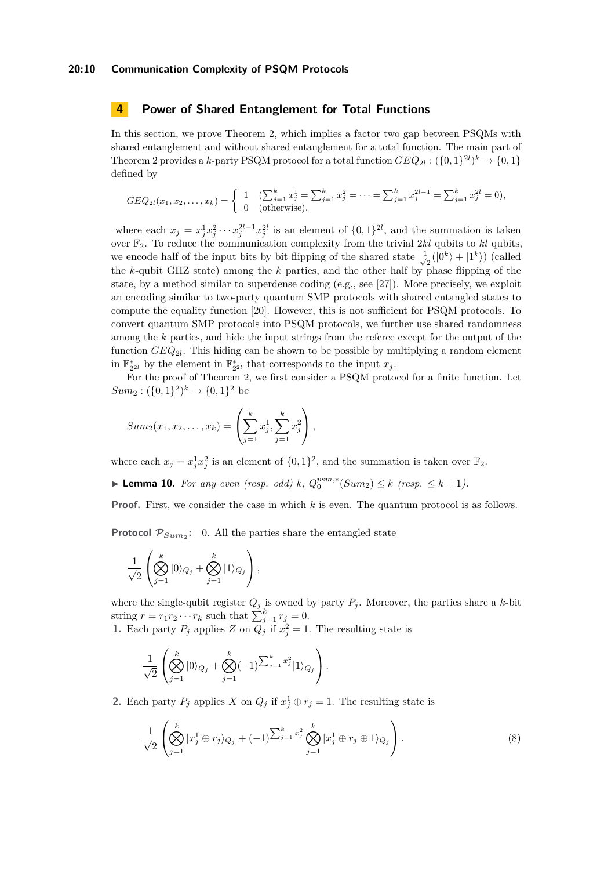#### **20:10 Communication Complexity of PSQM Protocols**

## **4 Power of Shared Entanglement for Total Functions**

In this section, we prove Theorem [2,](#page-2-1) which implies a factor two gap between PSQMs with shared entanglement and without shared entanglement for a total function. The main part of Theorem [2](#page-2-1) provides a *k*-party PSQM protocol for a total function  $GEQ_{2l} : (\{0,1\}^{2l})^k \rightarrow \{0,1\}$ defined by

$$
GEQ_{2l}(x_1, x_2, \dots, x_k) = \begin{cases} 1 & \text{(}\sum_{j=1}^k x_j^1 = \sum_{j=1}^k x_j^2 = \dots = \sum_{j=1}^k x_j^{2l-1} = \sum_{j=1}^k x_j^{2l} = 0),\\ 0 & \text{(otherwise)}, \end{cases}
$$

where each  $x_j = x_j^1 x_j^2 \cdots x_j^{2l-1} x_j^{2l}$  is an element of  $\{0,1\}^{2l}$ , and the summation is taken over F2. To reduce the communication complexity from the trivial 2*kl* qubits to *kl* qubits, we encode half of the input bits by bit flipping of the shared state  $\frac{1}{\sqrt{2}}$  $\frac{1}{2}(|0^k\rangle + |1^k\rangle)$  (called the *k*-qubit GHZ state) among the *k* parties, and the other half by phase flipping of the state, by a method similar to superdense coding (e.g., see [\[27\]](#page-16-12)). More precisely, we exploit an encoding similar to two-party quantum SMP protocols with shared entangled states to compute the equality function [\[20\]](#page-16-5). However, this is not sufficient for PSQM protocols. To convert quantum SMP protocols into PSQM protocols, we further use shared randomness among the *k* parties, and hide the input strings from the referee except for the output of the function *GEQ*2*<sup>l</sup>* . This hiding can be shown to be possible by multiplying a random element in  $\mathbb{F}_{2^{2l}}^*$  by the element in  $\mathbb{F}_{2^{2l}}^*$  that corresponds to the input  $x_j$ .

For the proof of Theorem [2,](#page-2-1) we first consider a PSQM protocol for a finite function. Let  $Sum_2: (\{0, 1\}^2)^k \rightarrow \{0, 1\}^2$  be

$$
Sum_2(x_1, x_2, \dots, x_k) = \left(\sum_{j=1}^k x_j^1, \sum_{j=1}^k x_j^2\right),
$$

where each  $x_j = x_j^1 x_j^2$  is an element of  $\{0,1\}^2$ , and the summation is taken over  $\mathbb{F}_2$ .

<span id="page-9-1"></span>▶ **Lemma 10.** *For any even (resp. odd) k*,  $Q_0^{psm,*}(Sum_2) \le k$  (resp. ≤ *k* + 1).

**Proof.** First, we consider the case in which *k* is even. The quantum protocol is as follows.

**Protocol**  $P_{Sum_2}$ : 0. All the parties share the entangled state

$$
\frac{1}{\sqrt{2}}\left(\bigotimes_{j=1}^k |0\rangle_{Q_j} + \bigotimes_{j=1}^k |1\rangle_{Q_j}\right),\,
$$

where the single-qubit register  $Q_j$  is owned by party  $P_j$ . Moreover, the parties share a *k*-bit string  $r = r_1 r_2 \cdots r_k$  such that  $\sum_{j=1}^k r_j = 0$ . **1.** Each party  $P_j$  applies  $Z$  on  $Q_j$  if  $x_j^2 = 1$ . The resulting state is

$$
\frac{1}{\sqrt{2}}\left(\bigotimes_{j=1}^k |0\rangle_{Q_j} + \bigotimes_{j=1}^k (-1)^{\sum_{j=1}^k x_j^2} |1\rangle_{Q_j}\right).
$$

**2.** Each party  $P_j$  applies  $X$  on  $Q_j$  if  $x_j^1 \oplus r_j = 1$ . The resulting state is

<span id="page-9-0"></span>
$$
\frac{1}{\sqrt{2}} \left( \bigotimes_{j=1}^{k} |x_j^1 \oplus r_j \rangle_{Q_j} + (-1)^{\sum_{j=1}^{k} x_j^2} \bigotimes_{j=1}^{k} |x_j^1 \oplus r_j \oplus 1 \rangle_{Q_j} \right).
$$
\n(8)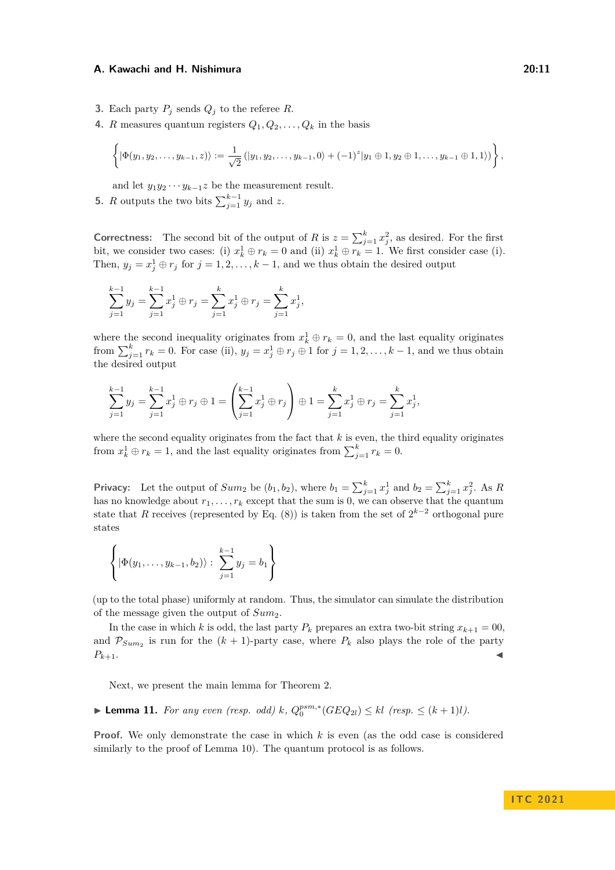- **3.** Each party  $P_i$  sends  $Q_i$  to the referee  $R$ .
- **4.** *R* measures quantum registers  $Q_1, Q_2, \ldots, Q_k$  in the basis

$$
\left\{|\Phi(y_1,y_2,\ldots,y_{k-1},z)\rangle:=\frac{1}{\sqrt{2}}\left(|y_1,y_2,\ldots,y_{k-1},0\rangle+(-1)^z|y_1\oplus 1,y_2\oplus 1,\ldots,y_{k-1}\oplus 1,1\rangle\right)\right\},\,
$$

and let  $y_1 y_2 \cdots y_{k-1} z$  be the measurement result.

**5.** *R* outputs the two bits  $\sum_{j=1}^{k-1} y_j$  and *z*.

**Correctness:** The second bit of the output of *R* is  $z = \sum_{j=1}^{k} x_j^2$ , as desired. For the first bit, we consider two cases: (i)  $x_k^1 \oplus r_k = 0$  and (ii)  $x_k^1 \oplus r_k = 1$ . We first consider case (i). Then,  $y_j = x_j^1 \oplus r_j$  for  $j = 1, 2, ..., k - 1$ , and we thus obtain the desired output

$$
\sum_{j=1}^{k-1} y_j = \sum_{j=1}^{k-1} x_j^1 \oplus r_j = \sum_{j=1}^k x_j^1 \oplus r_j = \sum_{j=1}^k x_j^1,
$$

where the second inequality originates from  $x_k^1 \oplus r_k = 0$ , and the last equality originates from  $\sum_{j=1}^{k} r_k = 0$ . For case (ii),  $y_j = x_j^1 \oplus r_j \oplus 1$  for  $j = 1, 2, \ldots, k - 1$ , and we thus obtain the desired output

$$
\sum_{j=1}^{k-1} y_j = \sum_{j=1}^{k-1} x_j^1 \oplus r_j \oplus 1 = \left(\sum_{j=1}^{k-1} x_j^1 \oplus r_j\right) \oplus 1 = \sum_{j=1}^{k} x_j^1 \oplus r_j = \sum_{j=1}^{k} x_j^1,
$$

where the second equality originates from the fact that *k* is even, the third equality originates from  $x_k^1 \oplus r_k = 1$ , and the last equality originates from  $\sum_{j=1}^k r_k = 0$ .

**Privacy:** Let the output of  $Sum_2$  be  $(b_1, b_2)$ , where  $b_1 = \sum_{j=1}^{k} x_j^1$  and  $b_2 = \sum_{j=1}^{k} x_j^2$ . As *R* has no knowledge about  $r_1, \ldots, r_k$  except that the sum is 0, we can observe that the quantum state that *R* receives (represented by Eq. [\(8\)](#page-9-0)) is taken from the set of  $2^{k-2}$  orthogonal pure states

$$
\left\{|\Phi(y_1,\ldots,y_{k-1},b_2)\rangle:\sum_{j=1}^{k-1}y_j=b_1\right\}
$$

(up to the total phase) uniformly at random. Thus, the simulator can simulate the distribution of the message given the output of *Sum*2.

In the case in which *k* is odd, the last party  $P_k$  prepares an extra two-bit string  $x_{k+1} = 00$ , and  $\mathcal{P}_{Sum_2}$  is run for the  $(k+1)$ -party case, where  $P_k$  also plays the role of the party  $P_{k+1}$ .

Next, we present the main lemma for Theorem [2.](#page-2-1)

<span id="page-10-0"></span>▶ **Lemma 11.** *For any even (resp. odd) k*,  $Q_0^{psm,*}(GEQ_{2l}) \le kl$  (resp. ≤  $(k+1)l$ ).

**Proof.** We only demonstrate the case in which *k* is even (as the odd case is considered similarly to the proof of Lemma [10\)](#page-9-1). The quantum protocol is as follows.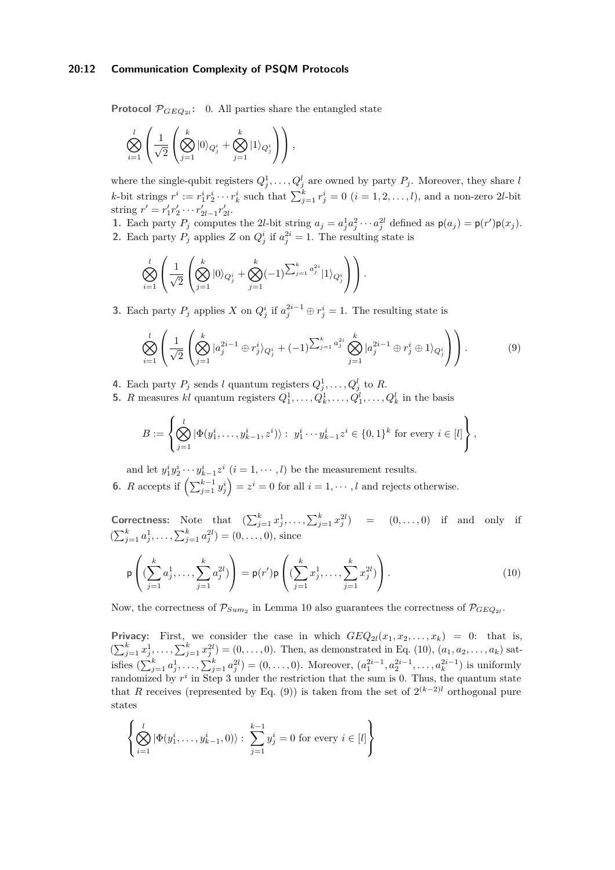#### **20:12 Communication Complexity of PSQM Protocols**

**Protocol**  $\mathcal{P}_{GEQ_{2l}}$ : 0. All parties share the entangled state

$$
\bigotimes_{i=1}^l \left( \frac{1}{\sqrt{2}} \left( \bigotimes_{j=1}^k |0\rangle_{Q_j^i} + \bigotimes_{j=1}^k |1\rangle_{Q_j^i} \right) \right),\,
$$

where the single-qubit registers  $Q_j^1, \ldots, Q_j^l$  are owned by party  $P_j$ . Moreover, they share *l* k-bit strings  $r^i := r_1^i r_2^i \cdots r_k^i$  such that  $\sum_{j=1}^k r_j^i = 0$   $(i = 1, 2, ..., l)$ , and a non-zero 2l-bit string  $r' = r'_1 r'_2 \cdots r'_{2l-1} r'_{2l}$ . 2*l*−1 2*l*

1. Each party  $P_j$  computes the 2l-bit string  $a_j = a_j^1 a_j^2 \cdots a_j^{2l}$  defined as  $p(a_j) = p(r')p(x_j)$ . **2.** Each party  $P_j$  applies  $Z$  on  $Q_j^i$  if  $a_j^{2i} = 1$ . The resulting state is

$$
\bigotimes_{i=1}^{l} \left( \frac{1}{\sqrt{2}} \left( \bigotimes_{j=1}^{k} |0\rangle_{Q_j^i} + \bigotimes_{j=1}^{k} (-1)^{\sum_{j=1}^{k} a_j^{2i}} |1\rangle_{Q_j^i} \right) \right).
$$

**3.** Each party  $P_j$  applies  $X$  on  $Q_j^i$  if  $a_j^{2i-1} \oplus r_j^i = 1$ . The resulting state is

<span id="page-11-1"></span>
$$
\bigotimes_{i=1}^{l} \left( \frac{1}{\sqrt{2}} \left( \bigotimes_{j=1}^{k} |a_j^{2i-1} \oplus r_j^{i} \rangle_{Q_j^{i}} + (-1)^{\sum_{j=1}^{k} a_j^{2i}} \bigotimes_{j=1}^{k} |a_j^{2i-1} \oplus r_j^{i} \oplus 1 \rangle_{Q_j^{i}} \right) \right).
$$
\n(9)

- **4.** Each party  $P_j$  sends *l* quantum registers  $Q_j^1, \ldots, Q_j^l$  to R.
- **5.** *R* measures *kl* quantum registers  $Q_1^1, \ldots, Q_k^1, \ldots, Q_1^l, \ldots, Q_k^l$  in the basis

$$
B := \left\{ \bigotimes_{j=1}^{l} |\Phi(y_1^i, \dots, y_{k-1}^i, z^i) \rangle : y_1^i \cdots y_{k-1}^i z^i \in \{0, 1\}^k \text{ for every } i \in [l] \right\},\
$$

and let  $y_1^i y_2^i \cdots y_{k-1}^i z^i$   $(i = 1, \dots, l)$  be the measurement results.

**6.** *R* accepts if  $\left(\sum_{j=1}^{k-1} y_j^i\right) = z^i = 0$  for all  $i = 1, \dots, l$  and rejects otherwise.

**Correctness:** Note that  $(\sum_{j=1}^{k} x_j^1, \ldots, \sum_{j=1}^{k} x_j^{2l}) = (0, \ldots, 0)$  if and only if  $(\sum_{j=1}^{k} a_j^1, \ldots, \sum_{j=1}^{k} a_j^{2l}) = (0, \ldots, 0)$ , since

<span id="page-11-0"></span>
$$
\mathsf{p}\left((\sum_{j=1}^{k} a_j^1, \dots, \sum_{j=1}^{k} a_j^{2l})\right) = \mathsf{p}(r')\mathsf{p}\left((\sum_{j=1}^{k} x_j^1, \dots, \sum_{j=1}^{k} x_j^{2l})\right).
$$
\n(10)

Now, the correctness of  $\mathcal{P}_{Sum_2}$  in Lemma [10](#page-9-1) also guarantees the correctness of  $\mathcal{P}_{GEQ_{2l}}$ .

**Privacy:** First, we consider the case in which  $GEQ_{2l}(x_1, x_2, \ldots, x_k) = 0$ : that is,  $(\sum_{j=1}^{k} x_j^1, \ldots, \sum_{j=1}^{k} x_j^{2l}) = (0, \ldots, 0)$ . Then, as demonstrated in Eq. [\(10\)](#page-11-0),  $(a_1, a_2, \ldots, a_k)$  satisfies  $(\sum_{j=1}^{k} a_j^1, \ldots, \sum_{j=1}^{k} a_j^{2l}) = (0, \ldots, 0)$ . Moreover,  $(a_1^{2i-1}, a_2^{2i-1}, \ldots, a_k^{2i-1})$  is uniformly randomized by  $r^i$  in Step 3 under the restriction that the sum is 0. Thus, the quantum state that *R* receives (represented by Eq. [\(9\)](#page-11-1)) is taken from the set of  $2^{(k-2)l}$  orthogonal pure states

$$
\left\{ \bigotimes_{i=1}^{l} |\Phi(y_1^i, \dots, y_{k-1}^i, 0)\rangle : \sum_{j=1}^{k-1} y_j^i = 0 \text{ for every } i \in [l] \right\}
$$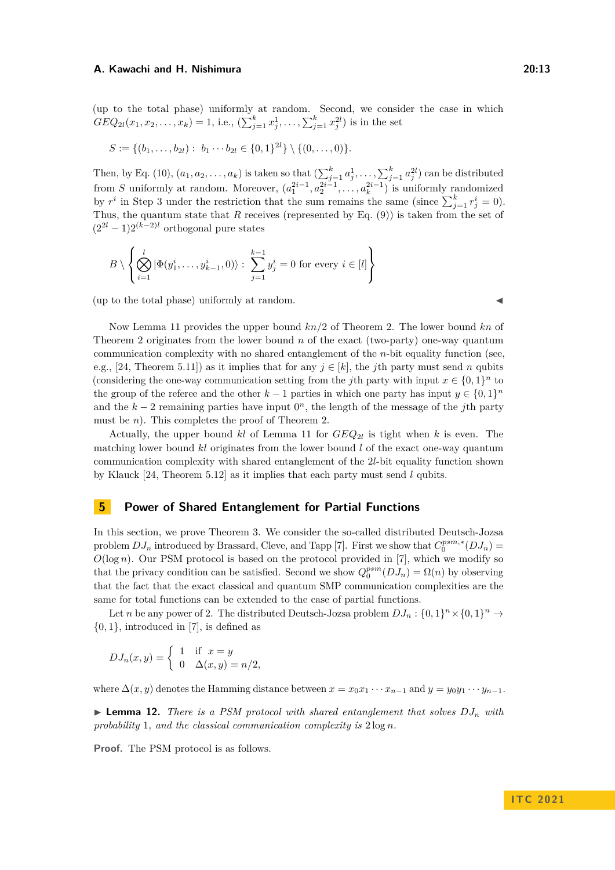(up to the total phase) uniformly at random. Second, we consider the case in which  $GEQ_{2l}(x_1, x_2, \ldots, x_k) = 1$ , i.e.,  $(\sum_{j=1}^k x_j^1, \ldots, \sum_{j=1}^k x_j^{2l})$  is in the set

$$
S := \{ (b_1, \ldots, b_{2l}) : b_1 \cdots b_{2l} \in \{0,1\}^{2l} \} \setminus \{ (0,\ldots,0) \}.
$$

Then, by Eq. [\(10\)](#page-11-0),  $(a_1, a_2, \ldots, a_k)$  is taken so that  $\left(\sum_{j=1}^k a_j^1, \ldots, \sum_{j=1}^k a_j^{2l}\right)$  can be distributed from *S* uniformly at random. Moreover,  $(a_1^{2i-1}, a_2^{2i-1}, \ldots, a_k^{2i-1})$  is uniformly randomized by  $r^i$  in Step 3 under the restriction that the sum remains the same (since  $\sum_{j=1}^k r^i_j = 0$ ). Thus, the quantum state that *R* receives (represented by Eq. [\(9\)](#page-11-1)) is taken from the set of  $(2^{2l} - 1)2^{(k-2)l}$  orthogonal pure states

$$
B \setminus \left\{ \bigotimes_{i=1}^{l} |\Phi(y_1^i, \dots, y_{k-1}^i, 0)\rangle : \sum_{j=1}^{k-1} y_j^i = 0 \text{ for every } i \in [l] \right\}
$$

 $($ up to the total phase $)$  uniformly at random.

Now Lemma [11](#page-10-0) provides the upper bound *kn/*2 of Theorem [2.](#page-2-1) The lower bound *kn* of Theorem [2](#page-2-1) originates from the lower bound *n* of the exact (two-party) one-way quantum communication complexity with no shared entanglement of the *n*-bit equality function (see, e.g., [\[24,](#page-16-14) Theorem 5.11]) as it implies that for any  $j \in [k]$ , the *j*th party must send *n* qubits (considering the one-way communication setting from the *j*th party with input  $x \in \{0,1\}^n$  to the group of the referee and the other  $k-1$  parties in which one party has input  $y \in \{0,1\}^n$ and the  $k-2$  remaining parties have input  $0<sup>n</sup>$ , the length of the message of the *j*th party must be *n*). This completes the proof of Theorem [2.](#page-2-1)

Actually, the upper bound *kl* of Lemma [11](#page-10-0) for *GEQ*2*<sup>l</sup>* is tight when *k* is even. The matching lower bound *kl* originates from the lower bound *l* of the exact one-way quantum communication complexity with shared entanglement of the 2*l*-bit equality function shown by Klauck [\[24,](#page-16-14) Theorem 5.12] as it implies that each party must send *l* qubits.

## **5 Power of Shared Entanglement for Partial Functions**

In this section, we prove Theorem [3.](#page-2-2) We consider the so-called distributed Deutsch-Jozsa problem  $DJ_n$  introduced by Brassard, Cleve, and Tapp [\[7\]](#page-15-15). First we show that  $C_0^{psm,*}(DJ_n)$  =  $O(\log n)$ . Our PSM protocol is based on the protocol provided in [\[7\]](#page-15-15), which we modify so that the privacy condition can be satisfied. Second we show  $Q_0^{psm}(DJ_n) = \Omega(n)$  by observing that the fact that the exact classical and quantum SMP communication complexities are the same for total functions can be extended to the case of partial functions.

Let *n* be any power of 2. The distributed Deutsch-Jozsa problem  $DJ_n: \{0,1\}^n \times \{0,1\}^n \rightarrow$ {0*,* 1}, introduced in [\[7\]](#page-15-15), is defined as

$$
DJ_n(x,y) = \begin{cases} 1 & \text{if } x = y \\ 0 & \Delta(x,y) = n/2, \end{cases}
$$

<span id="page-12-0"></span>where  $\Delta(x, y)$  denotes the Hamming distance between  $x = x_0x_1 \cdots x_{n-1}$  and  $y = y_0y_1 \cdots y_{n-1}$ .

 $\blacktriangleright$  **Lemma 12.** *There is a PSM protocol with shared entanglement that solves*  $DJ_n$  *with probability* 1*, and the classical communication complexity is* 2 log *n.*

**Proof.** The PSM protocol is as follows.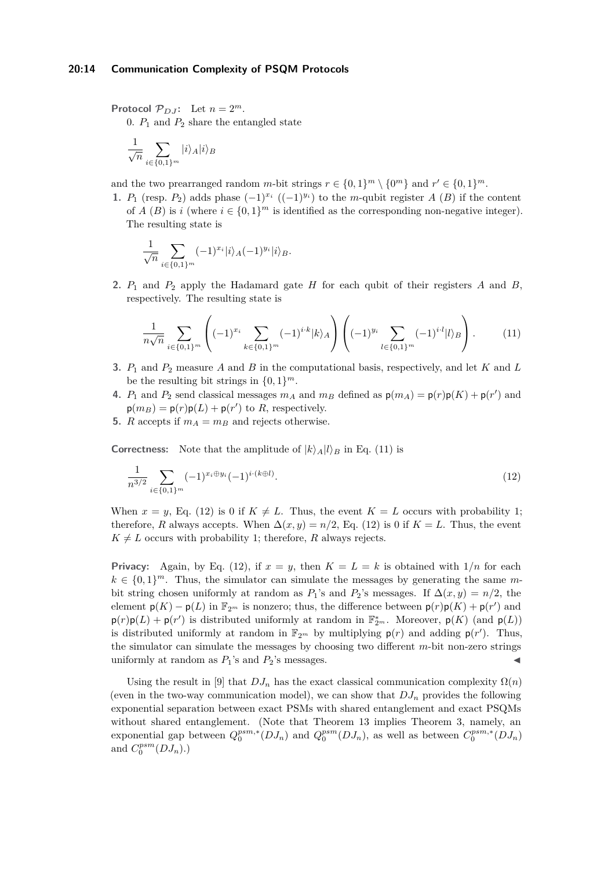**Protocol**  $\mathcal{P}_{D,J}$ : Let  $n = 2^m$ .

0.  $P_1$  and  $P_2$  share the entangled state

$$
\frac{1}{\sqrt{n}}\sum_{i\in\{0,1\}^m}|i\rangle_A|i\rangle_B
$$

and the two prearranged random *m*-bit strings  $r \in \{0,1\}^m \setminus \{0^m\}$  and  $r' \in \{0,1\}^m$ .

**1.** *P*<sub>1</sub> (resp. *P*<sub>2</sub>) adds phase  $(-1)^{x_i}$   $((-1)^{y_i})$  to the *m*-qubit register *A* (*B*) if the content of *A* (*B*) is *i* (where  $i \in \{0,1\}^m$  is identified as the corresponding non-negative integer). The resulting state is

$$
\frac{1}{\sqrt{n}} \sum_{i \in \{0,1\}^m} (-1)^{x_i} |i\rangle_A (-1)^{y_i} |i\rangle_B.
$$

**2.** *P*<sup>1</sup> and *P*<sup>2</sup> apply the Hadamard gate *H* for each qubit of their registers *A* and *B*, respectively. The resulting state is

<span id="page-13-0"></span>
$$
\frac{1}{n\sqrt{n}} \sum_{i \in \{0,1\}^m} \left( (-1)^{x_i} \sum_{k \in \{0,1\}^m} (-1)^{i \cdot k} |k\rangle_A \right) \left( (-1)^{y_i} \sum_{l \in \{0,1\}^m} (-1)^{i \cdot l} |l\rangle_B \right). \tag{11}
$$

- **3.** *P*<sup>1</sup> and *P*<sup>2</sup> measure *A* and *B* in the computational basis, respectively, and let *K* and *L* be the resulting bit strings in  $\{0, 1\}^m$ .
- **4.**  $P_1$  and  $P_2$  send classical messages  $m_A$  and  $m_B$  defined as  $p(m_A) = p(r)p(K) + p(r')$  and  $p(m_B) = p(r)p(L) + p(r')$  to *R*, respectively.
- **5.** *R* accepts if  $m_A = m_B$  and rejects otherwise.

**Correctness:** Note that the amplitude of  $|k\rangle_A |l\rangle_B$  in Eq. [\(11\)](#page-13-0) is

<span id="page-13-1"></span>
$$
\frac{1}{n^{3/2}} \sum_{i \in \{0,1\}^m} (-1)^{x_i \oplus y_i} (-1)^{i \cdot (k \oplus l)}.
$$
\n(12)

When  $x = y$ , Eq. [\(12\)](#page-13-1) is 0 if  $K \neq L$ . Thus, the event  $K = L$  occurs with probability 1; therefore, *R* always accepts. When  $\Delta(x, y) = n/2$ , Eq. [\(12\)](#page-13-1) is 0 if  $K = L$ . Thus, the event  $K \neq L$  occurs with probability 1; therefore, *R* always rejects.

**Privacy:** Again, by Eq. [\(12\)](#page-13-1), if  $x = y$ , then  $K = L = k$  is obtained with  $1/n$  for each  $k \in \{0,1\}^m$ . Thus, the simulator can simulate the messages by generating the same mbit string chosen uniformly at random as  $P_1$ 's and  $P_2$ 's messages. If  $\Delta(x, y) = n/2$ , the element  $p(K) - p(L)$  in  $\mathbb{F}_{2^m}$  is nonzero; thus, the difference between  $p(r)p(K) + p(r')$  and  $p(r)p(L) + p(r')$  is distributed uniformly at random in  $\mathbb{F}_{2^m}^*$ . Moreover,  $p(K)$  (and  $p(L)$ ) is distributed uniformly at random in  $\mathbb{F}_{2^m}$  by multiplying  $p(r)$  and adding  $p(r')$ . Thus, the simulator can simulate the messages by choosing two different *m*-bit non-zero strings uniformly at random as  $P_1$ 's and  $P_2$ 's messages.

<span id="page-13-2"></span>Using the result in [\[9\]](#page-15-0) that  $DJ_n$  has the exact classical communication complexity  $\Omega(n)$ (even in the two-way communication model), we can show that  $DJ_n$  provides the following exponential separation between exact PSMs with shared entanglement and exact PSQMs without shared entanglement. (Note that Theorem [13](#page-13-2) implies Theorem [3,](#page-2-2) namely, an exponential gap between  $Q_0^{psm,*}(DJ_n)$  and  $Q_0^{psm}(DJ_n)$ , as well as between  $C_0^{psm,*}(DJ_n)$ and  $C_0^{psm}(DJ_n)$ .)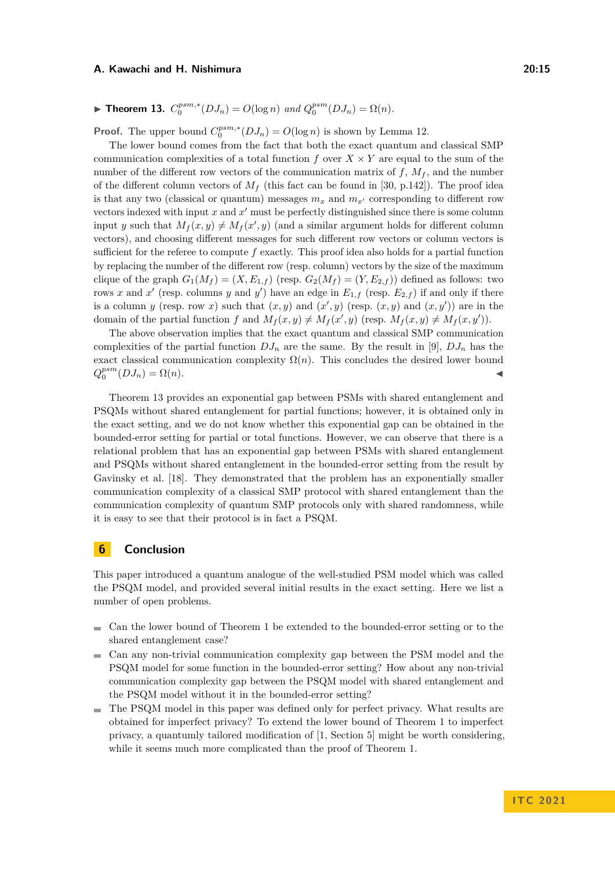# ▶ **Theorem 13.**  $C_0^{psm,*}(DJ_n) = O(\log n)$  and  $Q_0^{psm}(DJ_n) = \Omega(n)$ .

**Proof.** The upper bound  $C_0^{psm,*}(DJ_n) = O(\log n)$  is shown by Lemma [12.](#page-12-0)

The lower bound comes from the fact that both the exact quantum and classical SMP communication complexities of a total function  $f$  over  $X \times Y$  are equal to the sum of the number of the different row vectors of the communication matrix of  $f$ ,  $M_f$ , and the number of the different column vectors of  $M_f$  (this fact can be found in [\[30,](#page-16-15) p.142]). The proof idea is that any two (classical or quantum) messages  $m_x$  and  $m_{x'}$  corresponding to different row vectors indexed with input  $x$  and  $x'$  must be perfectly distinguished since there is some column input *y* such that  $M_f(x, y) \neq M_f(x', y)$  (and a similar argument holds for different column vectors), and choosing different messages for such different row vectors or column vectors is sufficient for the referee to compute *f* exactly. This proof idea also holds for a partial function by replacing the number of the different row (resp. column) vectors by the size of the maximum clique of the graph  $G_1(M_f) = (X, E_{1,f})$  (resp.  $G_2(M_f) = (Y, E_{2,f})$ ) defined as follows: two rows *x* and *x*<sup> $\prime$ </sup> (resp. columns *y* and *y*<sup> $\prime$ </sup>) have an edge in  $E_{1,f}$  (resp.  $E_{2,f}$ ) if and only if there is a column *y* (resp. row *x*) such that  $(x, y)$  and  $(x', y)$  (resp.  $(x, y)$  and  $(x, y')$ ) are in the domain of the partial function *f* and  $M_f(x, y) \neq M_f(x', y)$  (resp.  $M_f(x, y) \neq M_f(x, y')$ ).

The above observation implies that the exact quantum and classical SMP communication complexities of the partial function  $D J_n$  are the same. By the result in [\[9\]](#page-15-0),  $D J_n$  has the exact classical communication complexity  $\Omega(n)$ . This concludes the desired lower bound  $Q_0^{psm}(DJ_n) = \Omega(n).$ 

Theorem [13](#page-13-2) provides an exponential gap between PSMs with shared entanglement and PSQMs without shared entanglement for partial functions; however, it is obtained only in the exact setting, and we do not know whether this exponential gap can be obtained in the bounded-error setting for partial or total functions. However, we can observe that there is a relational problem that has an exponential gap between PSMs with shared entanglement and PSQMs without shared entanglement in the bounded-error setting from the result by Gavinsky et al. [\[18\]](#page-16-4). They demonstrated that the problem has an exponentially smaller communication complexity of a classical SMP protocol with shared entanglement than the communication complexity of quantum SMP protocols only with shared randomness, while it is easy to see that their protocol is in fact a PSQM.

## **6 Conclusion**

This paper introduced a quantum analogue of the well-studied PSM model which was called the PSQM model, and provided several initial results in the exact setting. Here we list a number of open problems.

- Can the lower bound of Theorem [1](#page-2-0) be extended to the bounded-error setting or to the  $\mathcal{L}_{\mathcal{A}}$ shared entanglement case?
- Can any non-trivial communication complexity gap between the PSM model and the  $\mathbf{r}$ PSQM model for some function in the bounded-error setting? How about any non-trivial communication complexity gap between the PSQM model with shared entanglement and the PSQM model without it in the bounded-error setting?
- The PSQM model in this paper was defined only for perfect privacy. What results are  $\rightarrow$ obtained for imperfect privacy? To extend the lower bound of Theorem [1](#page-2-0) to imperfect privacy, a quantumly tailored modification of [\[1,](#page-15-7) Section 5] might be worth considering, while it seems much more complicated than the proof of Theorem [1.](#page-2-0)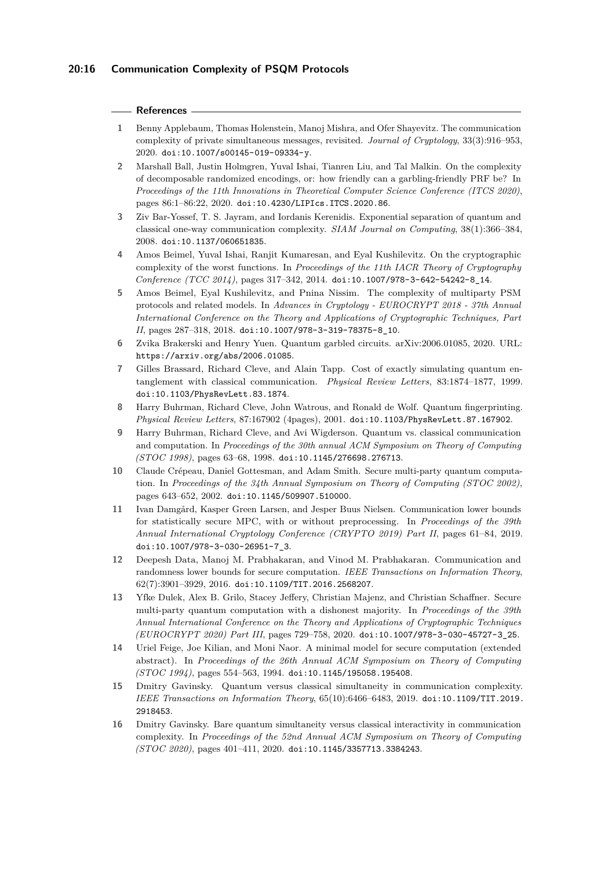#### **References**

- <span id="page-15-7"></span>**1** Benny Applebaum, Thomas Holenstein, Manoj Mishra, and Ofer Shayevitz. The communication complexity of private simultaneous messages, revisited. *Journal of Cryptology*, 33(3):916–953, 2020. [doi:10.1007/s00145-019-09334-y](https://doi.org/10.1007/s00145-019-09334-y).
- <span id="page-15-13"></span>**2** Marshall Ball, Justin Holmgren, Yuval Ishai, Tianren Liu, and Tal Malkin. On the complexity of decomposable randomized encodings, or: how friendly can a garbling-friendly PRF be? In *Proceedings of the 11th Innovations in Theoretical Computer Science Conference (ITCS 2020)*, pages 86:1–86:22, 2020. [doi:10.4230/LIPIcs.ITCS.2020.86](https://doi.org/10.4230/LIPIcs.ITCS.2020.86).
- <span id="page-15-9"></span>**3** Ziv Bar-Yossef, T. S. Jayram, and Iordanis Kerenidis. Exponential separation of quantum and classical one-way communication complexity. *SIAM Journal on Computing*, 38(1):366–384, 2008. [doi:10.1137/060651835](https://doi.org/10.1137/060651835).
- <span id="page-15-5"></span>**4** Amos Beimel, Yuval Ishai, Ranjit Kumaresan, and Eyal Kushilevitz. On the cryptographic complexity of the worst functions. In *Proceedings of the 11th IACR Theory of Cryptography Conference (TCC 2014)*, pages 317–342, 2014. [doi:10.1007/978-3-642-54242-8\\_14](https://doi.org/10.1007/978-3-642-54242-8_14).
- <span id="page-15-6"></span>**5** Amos Beimel, Eyal Kushilevitz, and Pnina Nissim. The complexity of multiparty PSM protocols and related models. In *Advances in Cryptology - EUROCRYPT 2018 - 37th Annual International Conference on the Theory and Applications of Cryptographic Techniques, Part II*, pages 287–318, 2018. [doi:10.1007/978-3-319-78375-8\\_10](https://doi.org/10.1007/978-3-319-78375-8_10).
- <span id="page-15-14"></span>**6** Zvika Brakerski and Henry Yuen. Quantum garbled circuits. arXiv:2006.01085, 2020. URL: <https://arxiv.org/abs/2006.01085>.
- <span id="page-15-15"></span>**7** Gilles Brassard, Richard Cleve, and Alain Tapp. Cost of exactly simulating quantum entanglement with classical communication. *Physical Review Letters*, 83:1874–1877, 1999. [doi:10.1103/PhysRevLett.83.1874](https://doi.org/10.1103/PhysRevLett.83.1874).
- <span id="page-15-1"></span>**8** Harry Buhrman, Richard Cleve, John Watrous, and Ronald de Wolf. Quantum fingerprinting. *Physical Review Letters*, 87:167902 (4pages), 2001. [doi:10.1103/PhysRevLett.87.167902](https://doi.org/10.1103/PhysRevLett.87.167902).
- <span id="page-15-0"></span>**9** Harry Buhrman, Richard Cleve, and Avi Wigderson. Quantum vs. classical communication and computation. In *Proceedings of the 30th annual ACM Symposium on Theory of Computing (STOC 1998)*, pages 63–68, 1998. [doi:10.1145/276698.276713](https://doi.org/10.1145/276698.276713).
- <span id="page-15-11"></span>**10** Claude Crépeau, Daniel Gottesman, and Adam Smith. Secure multi-party quantum computation. In *Proceedings of the 34th Annual Symposium on Theory of Computing (STOC 2002)*, pages 643–652, 2002. [doi:10.1145/509907.510000](https://doi.org/10.1145/509907.510000).
- <span id="page-15-3"></span>**11** Ivan Damgård, Kasper Green Larsen, and Jesper Buus Nielsen. Communication lower bounds for statistically secure MPC, with or without preprocessing. In *Proceedings of the 39th Annual International Cryptology Conference (CRYPTO 2019) Part II*, pages 61–84, 2019. [doi:10.1007/978-3-030-26951-7\\_3](https://doi.org/10.1007/978-3-030-26951-7_3).
- <span id="page-15-2"></span>**12** Deepesh Data, Manoj M. Prabhakaran, and Vinod M. Prabhakaran. Communication and randomness lower bounds for secure computation. *IEEE Transactions on Information Theory*, 62(7):3901–3929, 2016. [doi:10.1109/TIT.2016.2568207](https://doi.org/10.1109/TIT.2016.2568207).
- <span id="page-15-12"></span>**13** Yfke Dulek, Alex B. Grilo, Stacey Jeffery, Christian Majenz, and Christian Schaffner. Secure multi-party quantum computation with a dishonest majority. In *Proceedings of the 39th Annual International Conference on the Theory and Applications of Cryptographic Techniques (EUROCRYPT 2020) Part III*, pages 729–758, 2020. [doi:10.1007/978-3-030-45727-3\\_25](https://doi.org/10.1007/978-3-030-45727-3_25).
- <span id="page-15-4"></span>**14** Uriel Feige, Joe Kilian, and Moni Naor. A minimal model for secure computation (extended abstract). In *Proceedings of the 26th Annual ACM Symposium on Theory of Computing (STOC 1994)*, pages 554–563, 1994. [doi:10.1145/195058.195408](https://doi.org/10.1145/195058.195408).
- <span id="page-15-10"></span>**15** Dmitry Gavinsky. Quantum versus classical simultaneity in communication complexity. *IEEE Transactions on Information Theory*, 65(10):6466–6483, 2019. [doi:10.1109/TIT.2019.](https://doi.org/10.1109/TIT.2019.2918453) [2918453](https://doi.org/10.1109/TIT.2019.2918453).
- <span id="page-15-8"></span>**16** Dmitry Gavinsky. Bare quantum simultaneity versus classical interactivity in communication complexity. In *Proceedings of the 52nd Annual ACM Symposium on Theory of Computing (STOC 2020)*, pages 401–411, 2020. [doi:10.1145/3357713.3384243](https://doi.org/10.1145/3357713.3384243).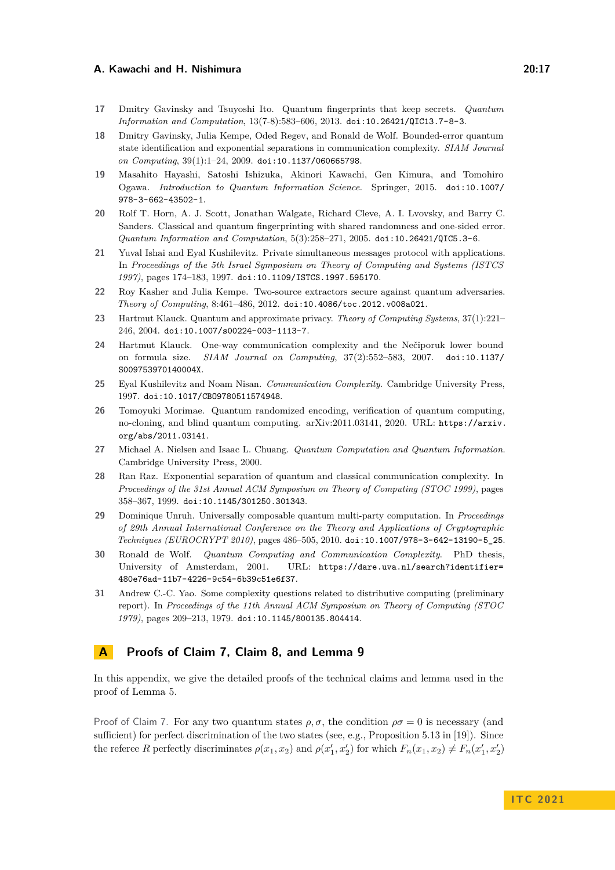- <span id="page-16-9"></span>**17** Dmitry Gavinsky and Tsuyoshi Ito. Quantum fingerprints that keep secrets. *Quantum Information and Computation*, 13(7-8):583–606, 2013. [doi:10.26421/QIC13.7-8-3](https://doi.org/10.26421/QIC13.7-8-3).
- <span id="page-16-4"></span>**18** Dmitry Gavinsky, Julia Kempe, Oded Regev, and Ronald de Wolf. Bounded-error quantum state identification and exponential separations in communication complexity. *SIAM Journal on Computing*, 39(1):1–24, 2009. [doi:10.1137/060665798](https://doi.org/10.1137/060665798).
- <span id="page-16-11"></span>**19** Masahito Hayashi, Satoshi Ishizuka, Akinori Kawachi, Gen Kimura, and Tomohiro Ogawa. *Introduction to Quantum Information Science*. Springer, 2015. [doi:10.1007/](https://doi.org/10.1007/978-3-662-43502-1) [978-3-662-43502-1](https://doi.org/10.1007/978-3-662-43502-1).
- <span id="page-16-5"></span>**20** Rolf T. Horn, A. J. Scott, Jonathan Walgate, Richard Cleve, A. I. Lvovsky, and Barry C. Sanders. Classical and quantum fingerprinting with shared randomness and one-sided error. *Quantum Information and Computation*, 5(3):258–271, 2005. [doi:10.26421/QIC5.3-6](https://doi.org/10.26421/QIC5.3-6).
- <span id="page-16-3"></span>**21** Yuval Ishai and Eyal Kushilevitz. Private simultaneous messages protocol with applications. In *Proceedings of the 5th Israel Symposium on Theory of Computing and Systems (ISTCS 1997)*, pages 174–183, 1997. [doi:10.1109/ISTCS.1997.595170](https://doi.org/10.1109/ISTCS.1997.595170).
- <span id="page-16-6"></span>**22** Roy Kasher and Julia Kempe. Two-source extractors secure against quantum adversaries. *Theory of Computing*, 8:461–486, 2012. [doi:10.4086/toc.2012.v008a021](https://doi.org/10.4086/toc.2012.v008a021).
- <span id="page-16-8"></span>**23** Hartmut Klauck. Quantum and approximate privacy. *Theory of Computing Systems*, 37(1):221– 246, 2004. [doi:10.1007/s00224-003-1113-7](https://doi.org/10.1007/s00224-003-1113-7).
- <span id="page-16-14"></span>**24** Hartmut Klauck. One-way communication complexity and the Nečiporuk lower bound on formula size. *SIAM Journal on Computing*, 37(2):552–583, 2007. [doi:10.1137/](https://doi.org/10.1137/S009753970140004X) [S009753970140004X](https://doi.org/10.1137/S009753970140004X).
- <span id="page-16-1"></span>**25** Eyal Kushilevitz and Noam Nisan. *Communication Complexity*. Cambridge University Press, 1997. [doi:10.1017/CBO9780511574948](https://doi.org/10.1017/CBO9780511574948).
- <span id="page-16-10"></span>**26** Tomoyuki Morimae. Quantum randomized encoding, verification of quantum computing, no-cloning, and blind quantum computing. arXiv:2011.03141, 2020. URL: [https://arxiv.](https://arxiv.org/abs/2011.03141) [org/abs/2011.03141](https://arxiv.org/abs/2011.03141).
- <span id="page-16-12"></span>**27** Michael A. Nielsen and Isaac L. Chuang. *Quantum Computation and Quantum Information*. Cambridge University Press, 2000.
- <span id="page-16-2"></span>**28** Ran Raz. Exponential separation of quantum and classical communication complexity. In *Proceedings of the 31st Annual ACM Symposium on Theory of Computing (STOC 1999)*, pages 358–367, 1999. [doi:10.1145/301250.301343](https://doi.org/10.1145/301250.301343).
- <span id="page-16-7"></span>**29** Dominique Unruh. Universally composable quantum multi-party computation. In *Proceedings of 29th Annual International Conference on the Theory and Applications of Cryptographic Techniques (EUROCRYPT 2010)*, pages 486–505, 2010. [doi:10.1007/978-3-642-13190-5\\_25](https://doi.org/10.1007/978-3-642-13190-5_25).
- <span id="page-16-15"></span>**30** Ronald de Wolf. *Quantum Computing and Communication Complexity*. PhD thesis, University of Amsterdam, 2001. URL: [https://dare.uva.nl/search?identifier=](https://dare.uva.nl/search?identifier=480e76ad-11b7-4226-9c54-6b39c51e6f37) [480e76ad-11b7-4226-9c54-6b39c51e6f37](https://dare.uva.nl/search?identifier=480e76ad-11b7-4226-9c54-6b39c51e6f37).
- <span id="page-16-0"></span>**31** Andrew C.-C. Yao. Some complexity questions related to distributive computing (preliminary report). In *Proceedings of the 11th Annual ACM Symposium on Theory of Computing (STOC 1979)*, pages 209–213, 1979. [doi:10.1145/800135.804414](https://doi.org/10.1145/800135.804414).

## <span id="page-16-13"></span>**A Proofs of Claim [7,](#page-6-0) Claim [8,](#page-7-3) and Lemma [9](#page-7-0)**

In this appendix, we give the detailed proofs of the technical claims and lemma used in the proof of Lemma [5.](#page-5-0)

Proof of Claim [7.](#page-6-0) For any two quantum states  $\rho$ ,  $\sigma$ , the condition  $\rho \sigma = 0$  is necessary (and sufficient) for perfect discrimination of the two states (see, e.g., Proposition 5.13 in [\[19\]](#page-16-11)). Since the referee *R* perfectly discriminates  $\rho(x_1, x_2)$  and  $\rho(x'_1, x'_2)$  for which  $F_n(x_1, x_2) \neq F_n(x'_1, x'_2)$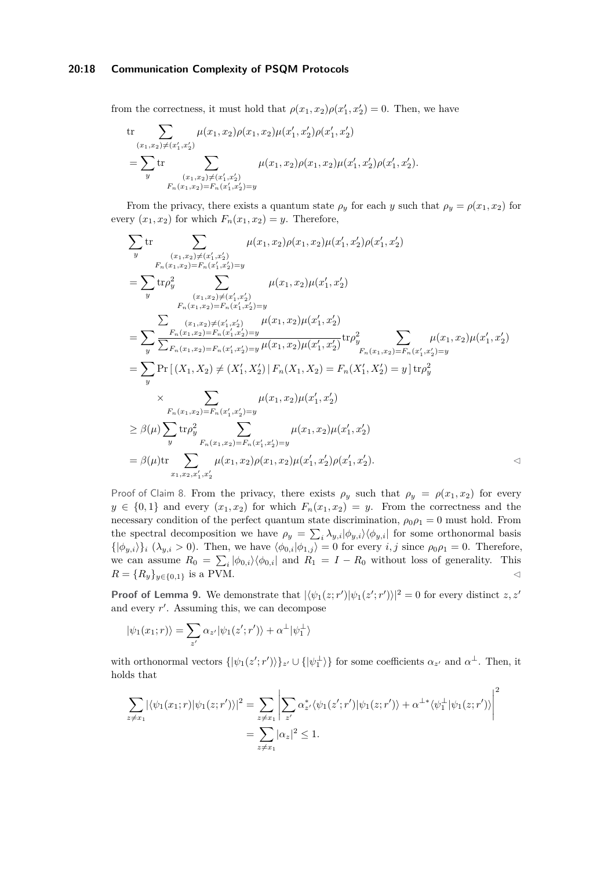## **20:18 Communication Complexity of PSQM Protocols**

from the correctness, it must hold that  $\rho(x_1, x_2)\rho(x_1', x_2') = 0$ . Then, we have

$$
\begin{aligned} &\text{tr}\sum_{(x_1,x_2)\neq (x_1',x_2')}\mu(x_1,x_2)\rho(x_1,x_2)\mu(x_1',x_2')\rho(x_1',x_2')\\ &=\sum_y\text{tr}\sum_{(x_1,x_2)\neq (x_1',x_2')\atop F_n(x_1,x_2)=F_n(x_1',x_2')=y}\mu(x_1,x_2)\rho(x_1,x_2)\mu(x_1',x_2')\rho(x_1',x_2'). \end{aligned}
$$

From the privacy, there exists a quantum state  $\rho_y$  for each *y* such that  $\rho_y = \rho(x_1, x_2)$  for every  $(x_1, x_2)$  for which  $F_n(x_1, x_2) = y$ . Therefore,

$$
\sum_{y} \text{tr} \sum_{(x_1,x_2)\neq (x_1',x_2') \atop F_n(x_1,x_2)=F_n(x_1',x_2')=y} \mu(x_1,x_2)\rho(x_1,x_2)\rho(x_1',x_2')\rho(x_1',x_2')
$$
\n
$$
= \sum_{y} \text{tr}\rho_y^2 \sum_{(x_1,x_2)\neq (x_1',x_2')=y} \mu(x_1,x_2)\mu(x_1',x_2')
$$
\n
$$
= \sum_{(x_1,x_2)\neq (x_1',x_2')=F_n(x_1',x_2')=y} \mu(x_1,x_2)\mu(x_1',x_2')
$$
\n
$$
= \sum_{y} \frac{F_n(x_1,x_2)=F_n(x_1',x_2')=y} \mu(x_1,x_2)\mu(x_1',x_2')}{\sum_{F_n(x_1,x_2)=F_n(x_1',x_2')=y} \mu(x_1,x_2)\mu(x_1',x_2')} \text{tr}\rho_y^2 \sum_{F_n(x_1,x_2)=F_n(x_1',x_2')=y} \mu(x_1,x_2)\mu(x_1',x_2')
$$
\n
$$
= \sum_{y} \Pr\left[\left(X_1,X_2\right)\neq \left(X_1',X_2'\right) \mid F_n(X_1,X_2)=F_n(X_1',X_2')=y\right] \text{tr}\rho_y^2
$$
\n
$$
\times \sum_{F_n(x_1,x_2)=F_n(x_1',x_2')=y} \mu(x_1,x_2)\mu(x_1',x_2')
$$
\n
$$
= \beta(\mu) \sum_{y} \text{tr}\rho_y^2 \sum_{F_n(x_1,x_2)=F_n(x_1',x_2')=y} \mu(x_1,x_2)\mu(x_1',x_2')\rho(x_1',x_2').
$$
\n
$$
= \beta(\mu) \text{tr} \sum_{x_1,x_2,x_1',x_2'} \mu(x_1,x_2)\rho(x_1,x_2)\mu(x_1',x_2')\rho(x_1',x_2').
$$

Proof of Claim [8.](#page-7-3) From the privacy, there exists  $\rho_y$  such that  $\rho_y = \rho(x_1, x_2)$  for every  $y \in \{0,1\}$  and every  $(x_1, x_2)$  for which  $F_n(x_1, x_2) = y$ . From the correctness and the necessary condition of the perfect quantum state discrimination,  $\rho_0 \rho_1 = 0$  must hold. From the spectral decomposition we have  $\rho_y = \sum_i \lambda_{y,i} |\phi_{y,i}\rangle \langle \phi_{y,i}|$  for some orthonormal basis  $\{\ket{\phi_{y,i}}\}_i$  ( $\lambda_{y,i} > 0$ ). Then, we have  $\langle \phi_{0,i} | \phi_{1,j} \rangle = 0$  for every *i, j* since  $\rho_0 \rho_1 = 0$ . Therefore, we can assume  $R_0 = \sum_i |\phi_{0,i}\rangle \langle \phi_{0,i}|$  and  $R_1 = I - R_0$  without loss of generality. This  $R = \{R_y\}_{y \in \{0,1\}}$  is a PVM.

**Proof of Lemma [9.](#page-7-0)** We demonstrate that  $|\langle \psi_1(z; r') | \psi_1(z'; r') \rangle|^2 = 0$  for every distinct *z, z'* and every *r* ′ . Assuming this, we can decompose

$$
|\psi_1(x_1; r)\rangle = \sum_{z'} \alpha_{z'} |\psi_1(z'; r')\rangle + \alpha^{\perp} |\psi_1^{\perp}\rangle
$$

with orthonormal vectors  $\{|\psi_1(z';r')\rangle\}_z$  ∪  $\{|\psi_1^{\perp}\rangle\}$  for some coefficients  $\alpha_{z'}$  and  $\alpha^{\perp}$ . Then, it holds that

$$
\sum_{z \neq x_1} |\langle \psi_1(x_1; r) | \psi_1(z; r') \rangle|^2 = \sum_{z \neq x_1} \left| \sum_{z'} \alpha_{z'}^* \langle \psi_1(z'; r') | \psi_1(z; r') \rangle + \alpha^{\perp *} \langle \psi_1^{\perp} | \psi_1(z; r') \rangle \right|^2
$$
  
= 
$$
\sum_{z \neq x_1} |\alpha_z|^2 \leq 1.
$$